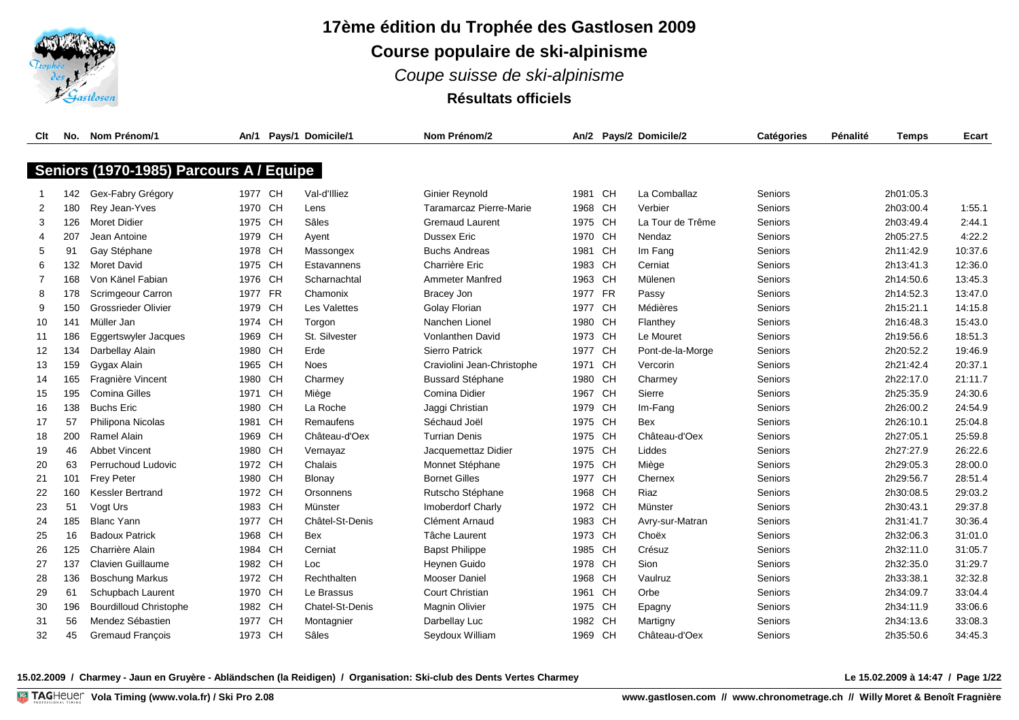

# **17ème édition du Trophée des Gastlosen 2009 Course populaire de ski-alpinisme** *Coupe suisse de ski-alpinisme* **Résultats officiels**

| Clt            | No. | Nom Prénom/1                            | An/1    |           | Pays/1 Domicile/1   | Nom Prénom/2               |         |           | An/2 Pays/2 Domicile/2 | <b>Catégories</b> | Pénalité | <b>Temps</b> | Ecart   |
|----------------|-----|-----------------------------------------|---------|-----------|---------------------|----------------------------|---------|-----------|------------------------|-------------------|----------|--------------|---------|
|                |     |                                         |         |           |                     |                            |         |           |                        |                   |          |              |         |
|                |     | Seniors (1970-1985) Parcours A / Equipe |         |           |                     |                            |         |           |                        |                   |          |              |         |
|                | 142 | Gex-Fabry Grégory                       | 1977 CH |           | Val-d'Illiez        | <b>Ginier Reynold</b>      | 1981    | <b>CH</b> | La Comballaz           | Seniors           |          | 2h01:05.3    |         |
| 2              | 180 | Rey Jean-Yves                           | 1970 CH |           | Lens                | Taramarcaz Pierre-Marie    | 1968    | CH        | Verbier                | Seniors           |          | 2h03:00.4    | 1:55.1  |
| 3              | 126 | <b>Moret Didier</b>                     | 1975 CH |           | Sâles               | <b>Gremaud Laurent</b>     | 1975 CH |           | La Tour de Trême       | Seniors           |          | 2h03:49.4    | 2:44.1  |
| $\overline{4}$ | 207 | Jean Antoine                            | 1979    | <b>CH</b> | Ayent               | Dussex Eric                | 1970    | <b>CH</b> | Nendaz                 | Seniors           |          | 2h05:27.5    | 4:22.2  |
| 5              | 91  | Gay Stéphane                            | 1978    | <b>CH</b> | Massongex           | <b>Buchs Andreas</b>       | 1981    | CH        | Im Fang                | Seniors           |          | 2h11:42.9    | 10:37.6 |
| 6              | 132 | <b>Moret David</b>                      | 1975    | <b>CH</b> | Estavannens         | Charrière Eric             | 1983    | <b>CH</b> | Cerniat                | Seniors           |          | 2h13:41.3    | 12:36.0 |
| $\overline{7}$ | 168 | Von Känel Fabian                        | 1976    | <b>CH</b> | Scharnachtal        | <b>Ammeter Manfred</b>     | 1963    | <b>CH</b> | Mülenen                | Seniors           |          | 2h14:50.6    | 13:45.3 |
| 8              | 178 | Scrimgeour Carron                       | 1977    | <b>FR</b> | Chamonix            | Bracey Jon                 | 1977    | <b>FR</b> | Passy                  | Seniors           |          | 2h14:52.3    | 13:47.0 |
| 9              | 150 | <b>Grossrieder Olivier</b>              | 1979    | <b>CH</b> | <b>Les Valettes</b> | <b>Golay Florian</b>       | 1977    | <b>CH</b> | Médières               | Seniors           |          | 2h15:21.1    | 14:15.8 |
| 10             | 141 | Müller Jan                              | 1974    | <b>CH</b> | Torgon              | Nanchen Lionel             | 1980    | <b>CH</b> | Flanthey               | Seniors           |          | 2h16:48.3    | 15:43.0 |
| 11             | 186 | Eggertswyler Jacques                    | 1969    | <b>CH</b> | St. Silvester       | <b>Vonlanthen David</b>    | 1973    | CH        | Le Mouret              | Seniors           |          | 2h19:56.6    | 18:51.3 |
| 12             | 134 | Darbellay Alain                         | 1980    | <b>CH</b> | Erde                | <b>Sierro Patrick</b>      | 1977    | <b>CH</b> | Pont-de-la-Morge       | Seniors           |          | 2h20:52.2    | 19:46.9 |
| 13             | 159 | Gygax Alain                             | 1965    | <b>CH</b> | Noes                | Craviolini Jean-Christophe | 1971    | CH        | Vercorin               | Seniors           |          | 2h21:42.4    | 20:37.1 |
| 14             | 165 | Fragnière Vincent                       | 1980    | <b>CH</b> | Charmey             | <b>Bussard Stéphane</b>    | 1980    | <b>CH</b> | Charmey                | Seniors           |          | 2h22:17.0    | 21:11.7 |
| 15             | 195 | <b>Comina Gilles</b>                    | 1971    | CH        | Miège               | Comina Didier              | 1967    | <b>CH</b> | Sierre                 | Seniors           |          | 2h25:35.9    | 24:30.6 |
| 16             | 138 | <b>Buchs Eric</b>                       | 1980    | <b>CH</b> | La Roche            | Jaggi Christian            | 1979    | <b>CH</b> | Im-Fang                | Seniors           |          | 2h26:00.2    | 24:54.9 |
| 17             | 57  | Philipona Nicolas                       | 1981    | <b>CH</b> | Remaufens           | Séchaud Joël               | 1975 CH |           | Bex                    | Seniors           |          | 2h26:10.1    | 25:04.8 |
| 18             | 200 | Ramel Alain                             | 1969    | <b>CH</b> | Château-d'Oex       | <b>Turrian Denis</b>       | 1975    | CH        | Château-d'Oex          | Seniors           |          | 2h27:05.1    | 25:59.8 |
| 19             | 46  | <b>Abbet Vincent</b>                    | 1980    | <b>CH</b> | Vernayaz            | Jacquemettaz Didier        | 1975 CH |           | Liddes                 | Seniors           |          | 2h27:27.9    | 26:22.6 |
| 20             | 63  | Perruchoud Ludovic                      | 1972    | CH        | Chalais             | Monnet Stéphane            | 1975 CH |           | Miège                  | Seniors           |          | 2h29:05.3    | 28:00.0 |
| 21             | 101 | <b>Frey Peter</b>                       | 1980    | <b>CH</b> | Blonay              | <b>Bornet Gilles</b>       | 1977    | <b>CH</b> | Chernex                | Seniors           |          | 2h29:56.7    | 28:51.4 |
| 22             | 160 | <b>Kessler Bertrand</b>                 | 1972    | CH        | Orsonnens           | Rutscho Stéphane           | 1968    | CH        | Riaz                   | Seniors           |          | 2h30:08.5    | 29:03.2 |
| 23             | 51  | Vogt Urs                                | 1983    | CH        | Münster             | <b>Imoberdorf Charly</b>   | 1972 CH |           | Münster                | Seniors           |          | 2h30:43.1    | 29:37.8 |
| 24             | 185 | <b>Blanc Yann</b>                       | 1977    | <b>CH</b> | Châtel-St-Denis     | Clément Arnaud             | 1983 CH |           | Avry-sur-Matran        | Seniors           |          | 2h31:41.7    | 30:36.4 |
| 25             | 16  | <b>Badoux Patrick</b>                   | 1968    | <b>CH</b> | Bex                 | Tâche Laurent              | 1973    | <b>CH</b> | Choëx                  | Seniors           |          | 2h32:06.3    | 31:01.0 |
| 26             | 125 | Charrière Alain                         | 1984 CH |           | Cerniat             | <b>Bapst Philippe</b>      | 1985    | <b>CH</b> | Crésuz                 | Seniors           |          | 2h32:11.0    | 31:05.7 |
| 27             | 137 | <b>Clavien Guillaume</b>                | 1982 CH |           | Loc.                | Heynen Guido               | 1978 CH |           | Sion                   | Seniors           |          | 2h32:35.0    | 31:29.7 |
| 28             | 136 | <b>Boschung Markus</b>                  | 1972 CH |           | Rechthalten         | Mooser Daniel              | 1968 CH |           | Vaulruz                | Seniors           |          | 2h33:38.1    | 32:32.8 |
| 29             | 61  | Schupbach Laurent                       | 1970    | CH        | Le Brassus          | Court Christian            | 1961    | <b>CH</b> | Orbe                   | Seniors           |          | 2h34:09.7    | 33:04.4 |
| 30             | 196 | <b>Bourdilloud Christophe</b>           | 1982 CH |           | Chatel-St-Denis     | <b>Magnin Olivier</b>      | 1975    | <b>CH</b> | Epagny                 | Seniors           |          | 2h34:11.9    | 33:06.6 |
| 31             | 56  | Mendez Sébastien                        | 1977    | <b>CH</b> | Montagnier          | Darbellay Luc              | 1982    | <b>CH</b> | Martigny               | Seniors           |          | 2h34:13.6    | 33:08.3 |
| 32             | 45  | Gremaud François                        | 1973 CH |           | Sâles               | Seydoux William            | 1969 CH |           | Château-d'Oex          | Seniors           |          | 2h35:50.6    | 34:45.3 |

**15.02.2009 / Charmey - Jaun en Gruyère - Abländschen (la Reidigen) / Organisation: Ski-club des Dents Vertes Charmey Le 15.02.2009 à 14:47 / Page 1/22**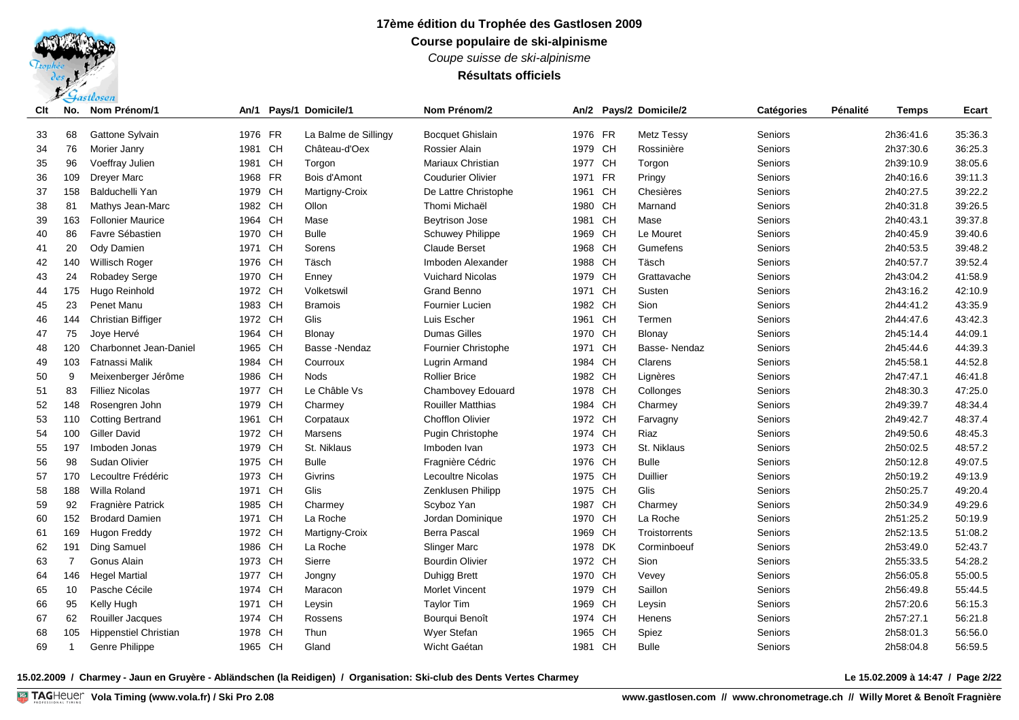## **17ème édition du Trophée des Gastlosen 2009 Course populaire de ski-alpinisme** *Coupe suisse de ski-alpinisme*

**Résultats officiels**

| Clt | No.            | Nom Prénom/1                 | An/1    |           | Pays/1 Domicile/1    | Nom Prénom/2             |         |           | An/2 Pays/2 Domicile/2 | Catégories | Pénalité | Temps     | Ecart   |
|-----|----------------|------------------------------|---------|-----------|----------------------|--------------------------|---------|-----------|------------------------|------------|----------|-----------|---------|
| 33  | 68             | Gattone Sylvain              | 1976 FR |           | La Balme de Sillingy | <b>Bocquet Ghislain</b>  | 1976 FR |           | <b>Metz Tessy</b>      | Seniors    |          | 2h36:41.6 | 35:36.3 |
| 34  | 76             | Morier Janry                 | 1981    | CH        | Château-d'Oex        | Rossier Alain            | 1979 CH |           | Rossinière             | Seniors    |          | 2h37:30.6 | 36:25.3 |
| 35  | 96             | Voeffray Julien              | 1981    | CH        | Torgon               | Mariaux Christian        | 1977 CH |           | Torgon                 | Seniors    |          | 2h39:10.9 | 38:05.6 |
| 36  | 109            | Dreyer Marc                  | 1968 FR |           | Bois d'Amont         | <b>Coudurier Olivier</b> | 1971    | <b>FR</b> | Pringy                 | Seniors    |          | 2h40:16.6 | 39:11.3 |
| 37  | 158            | Balduchelli Yan              | 1979 CH |           | Martigny-Croix       | De Lattre Christophe     | 1961    | <b>CH</b> | Chesières              | Seniors    |          | 2h40:27.5 | 39:22.2 |
| 38  | 81             | Mathys Jean-Marc             | 1982 CH |           | Ollon                | Thomi Michaël            | 1980 CH |           | Marnand                | Seniors    |          | 2h40:31.8 | 39:26.5 |
| 39  | 163            | <b>Follonier Maurice</b>     | 1964 CH |           | Mase                 | Beytrison Jose           | 1981    | CH        | Mase                   | Seniors    |          | 2h40:43.1 | 39:37.8 |
| 40  | 86             | Favre Sébastien              | 1970 CH |           | <b>Bulle</b>         | <b>Schuwey Philippe</b>  | 1969 CH |           | Le Mouret              | Seniors    |          | 2h40:45.9 | 39:40.6 |
| 41  | 20             | Ody Damien                   | 1971 CH |           | Sorens               | <b>Claude Berset</b>     | 1968 CH |           | Gumefens               | Seniors    |          | 2h40:53.5 | 39:48.2 |
| 42  | 140            | <b>Willisch Roger</b>        | 1976 CH |           | Täsch                | Imboden Alexander        | 1988 CH |           | Täsch                  | Seniors    |          | 2h40:57.7 | 39:52.4 |
| 43  | 24             | <b>Robadey Serge</b>         | 1970 CH |           | Enney                | <b>Vuichard Nicolas</b>  | 1979 CH |           | Grattavache            | Seniors    |          | 2h43:04.2 | 41:58.9 |
| 44  | 175            | Hugo Reinhold                | 1972 CH |           | Volketswil           | Grand Benno              | 1971 CH |           | Susten                 | Seniors    |          | 2h43:16.2 | 42:10.9 |
| 45  | 23             | Penet Manu                   | 1983 CH |           | <b>Bramois</b>       | Fournier Lucien          | 1982 CH |           | Sion                   | Seniors    |          | 2h44:41.2 | 43:35.9 |
| 46  | 144            | <b>Christian Biffiger</b>    | 1972 CH |           | Glis                 | Luis Escher              | 1961    | CH        | Termen                 | Seniors    |          | 2h44:47.6 | 43:42.3 |
| 47  | 75             | Joye Hervé                   | 1964 CH |           | <b>Blonay</b>        | <b>Dumas Gilles</b>      | 1970 CH |           | <b>Blonay</b>          | Seniors    |          | 2h45.14.4 | 44:09.1 |
| 48  | 120            | Charbonnet Jean-Daniel       | 1965 CH |           | Basse -Nendaz        | Fournier Christophe      | 1971    | CH        | Basse-Nendaz           | Seniors    |          | 2h45:44.6 | 44:39.3 |
| 49  | 103            | Fatnassi Malik               | 1984    | <b>CH</b> | Courroux             | Lugrin Armand            | 1984    | CH        | Clarens                | Seniors    |          | 2h45:58.1 | 44:52.8 |
| 50  | 9              | Meixenberger Jérôme          | 1986 CH |           | <b>Nods</b>          | <b>Rollier Brice</b>     | 1982 CH |           | Lignères               | Seniors    |          | 2h47:47.1 | 46:41.8 |
| 51  | 83             | <b>Filliez Nicolas</b>       | 1977 CH |           | Le Châble Vs         | <b>Chambovey Edouard</b> | 1978 CH |           | Collonges              | Seniors    |          | 2h48:30.3 | 47:25.0 |
| 52  | 148            | Rosengren John               | 1979 CH |           | Charmey              | <b>Rouiller Matthias</b> | 1984    | <b>CH</b> | Charmey                | Seniors    |          | 2h49:39.7 | 48:34.4 |
| 53  | 110            | <b>Cotting Bertrand</b>      | 1961    | CH        | Corpataux            | <b>Chofflon Olivier</b>  | 1972 CH |           | Farvagny               | Seniors    |          | 2h49:42.7 | 48:37.4 |
| 54  | 100            | <b>Giller David</b>          | 1972 CH |           | Marsens              | Pugin Christophe         | 1974 CH |           | Riaz                   | Seniors    |          | 2h49:50.6 | 48:45.3 |
| 55  | 197            | Imboden Jonas                | 1979 CH |           | St. Niklaus          | Imboden Ivan             | 1973 CH |           | St. Niklaus            | Seniors    |          | 2h50:02.5 | 48:57.2 |
| 56  | 98             | Sudan Olivier                | 1975 CH |           | <b>Bulle</b>         | Fragnière Cédric         | 1976 CH |           | <b>Bulle</b>           | Seniors    |          | 2h50:12.8 | 49:07.5 |
| 57  | 170            | Lecoultre Frédéric           | 1973 CH |           | Givrins              | Lecoultre Nicolas        | 1975 CH |           | <b>Duillier</b>        | Seniors    |          | 2h50:19.2 | 49:13.9 |
| 58  | 188            | Willa Roland                 | 1971 CH |           | Glis                 | Zenklusen Philipp        | 1975 CH |           | Glis                   | Seniors    |          | 2h50:25.7 | 49:20.4 |
| 59  | 92             | Fragnière Patrick            | 1985 CH |           | Charmey              | Scyboz Yan               | 1987 CH |           | Charmey                | Seniors    |          | 2h50:34.9 | 49:29.6 |
| 60  | 152            | <b>Brodard Damien</b>        | 1971 CH |           | La Roche             | Jordan Dominique         | 1970 CH |           | La Roche               | Seniors    |          | 2h51:25.2 | 50:19.9 |
| 61  | 169            | Hugon Freddy                 | 1972 CH |           | Martigny-Croix       | <b>Berra Pascal</b>      | 1969    | <b>CH</b> | Troistorrents          | Seniors    |          | 2h52:13.5 | 51:08.2 |
| 62  | 191            | Ding Samuel                  | 1986 CH |           | La Roche             | Slinger Marc             | 1978 DK |           | Corminboeuf            | Seniors    |          | 2h53:49.0 | 52:43.7 |
| 63  | $\overline{7}$ | Gonus Alain                  | 1973 CH |           | Sierre               | <b>Bourdin Olivier</b>   | 1972 CH |           | Sion                   | Seniors    |          | 2h55:33.5 | 54:28.2 |
| 64  | 146            | <b>Hegel Martial</b>         | 1977 CH |           | Jongny               | Duhigg Brett             | 1970 CH |           | Vevey                  | Seniors    |          | 2h56:05.8 | 55:00.5 |
| 65  | 10             | Pasche Cécile                | 1974    | CH        | Maracon              | <b>Morlet Vincent</b>    | 1979    | <b>CH</b> | Saillon                | Seniors    |          | 2h56:49.8 | 55:44.5 |
| 66  | 95             | Kelly Hugh                   | 1971    | CH        | Leysin               | <b>Taylor Tim</b>        | 1969    | <b>CH</b> | Leysin                 | Seniors    |          | 2h57:20.6 | 56:15.3 |
| 67  | 62             | Rouiller Jacques             | 1974 CH |           | Rossens              | Bourqui Benoît           | 1974    | <b>CH</b> | Henens                 | Seniors    |          | 2h57:27.1 | 56:21.8 |
| 68  | 105            | <b>Hippenstiel Christian</b> | 1978    | <b>CH</b> | Thun                 | Wyer Stefan              | 1965    | <b>CH</b> | Spiez                  | Seniors    |          | 2h58:01.3 | 56:56.0 |
| 69  | $\mathbf{1}$   | Genre Philippe               | 1965 CH |           | Gland                | Wicht Gaétan             | 1981 CH |           | <b>Bulle</b>           | Seniors    |          | 2h58:04.8 | 56:59.5 |

**15.02.2009 / Charmey - Jaun en Gruyère - Abländschen (la Reidigen) / Organisation: Ski-club des Dents Vertes Charmey Le 15.02.2009 à 14:47 / Page 2/22**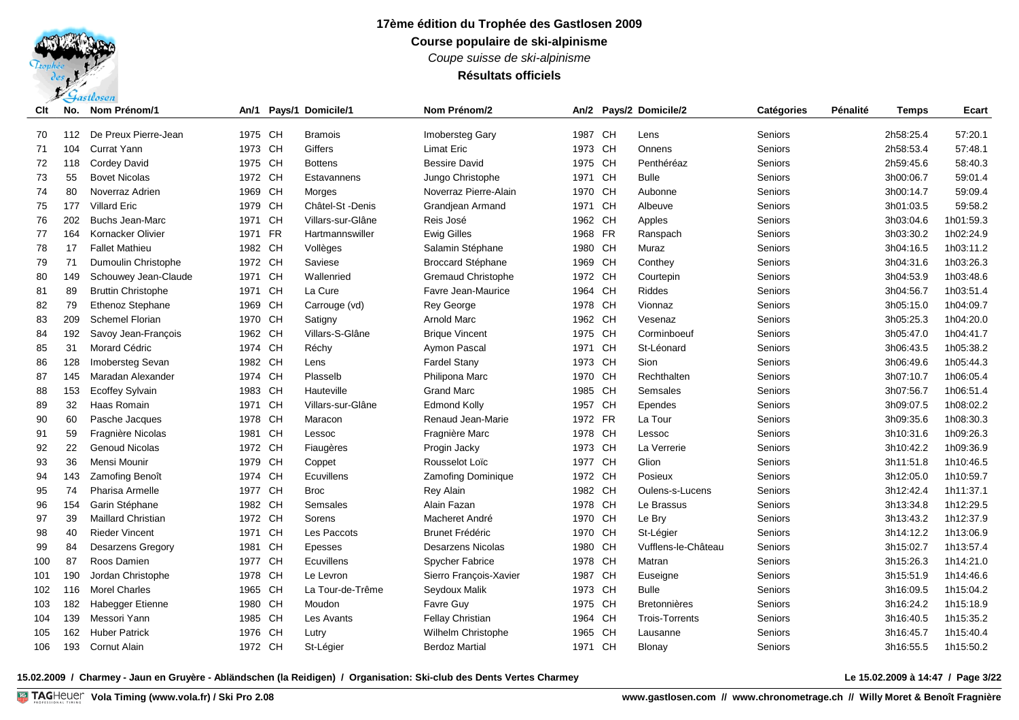*Coupe suisse de ski-alpinisme*

## **Résultats officiels**

| Clt | No. | Nom Prénom/1              | An/1    |           | Pays/1 Domicile/1 | Nom Prénom/2              |         |           | An/2 Pays/2 Domicile/2 | Catégories     | Pénalité | <b>Temps</b> | <b>Ecart</b> |
|-----|-----|---------------------------|---------|-----------|-------------------|---------------------------|---------|-----------|------------------------|----------------|----------|--------------|--------------|
| 70  | 112 | De Preux Pierre-Jean      | 1975 CH |           | <b>Bramois</b>    | <b>Imobersteg Gary</b>    | 1987    | <b>CH</b> | Lens                   | Seniors        |          | 2h58:25.4    | 57:20.1      |
| 71  | 104 | <b>Currat Yann</b>        | 1973 CH |           | Giffers           | <b>Limat Eric</b>         | 1973 CH |           | Onnens                 | Seniors        |          | 2h58:53.4    | 57:48.1      |
| 72  | 118 | <b>Cordey David</b>       | 1975    | CH        | <b>Bottens</b>    | <b>Bessire David</b>      | 1975    | <b>CH</b> | Penthéréaz             | Seniors        |          | 2h59:45.6    | 58:40.3      |
| 73  | 55  | <b>Bovet Nicolas</b>      | 1972 CH |           | Estavannens       | Jungo Christophe          | 1971    | <b>CH</b> | <b>Bulle</b>           | Seniors        |          | 3h00:06.7    | 59:01.4      |
| 74  | 80  | Noverraz Adrien           | 1969    | <b>CH</b> | Morges            | Noverraz Pierre-Alain     | 1970    | <b>CH</b> | Aubonne                | Seniors        |          | 3h00:14.7    | 59:09.4      |
| 75  | 177 | <b>Villard Eric</b>       | 1979    | CH        | Châtel-St - Denis | Grandjean Armand          | 1971    | <b>CH</b> | Albeuve                | Seniors        |          | 3h01:03.5    | 59:58.2      |
| 76  | 202 | <b>Buchs Jean-Marc</b>    | 1971    | <b>CH</b> | Villars-sur-Glâne | Reis José                 | 1962    | <b>CH</b> | Apples                 | Seniors        |          | 3h03:04.6    | 1h01:59.3    |
| 77  | 164 | Kornacker Olivier         | 1971    | <b>FR</b> | Hartmannswiller   | <b>Ewig Gilles</b>        | 1968    | <b>FR</b> | Ranspach               | Seniors        |          | 3h03:30.2    | 1h02:24.9    |
| 78  | 17  | <b>Fallet Mathieu</b>     | 1982 CH |           | Vollèges          | Salamin Stéphane          | 1980    | <b>CH</b> | Muraz                  | Seniors        |          | 3h04:16.5    | 1h03:11.2    |
| 79  | 71  | Dumoulin Christophe       | 1972 CH |           | Saviese           | <b>Broccard Stéphane</b>  | 1969    | <b>CH</b> | Conthey                | Seniors        |          | 3h04:31.6    | 1h03:26.3    |
| 80  | 149 | Schouwey Jean-Claude      | 1971 CH |           | Wallenried        | <b>Gremaud Christophe</b> | 1972 CH |           | Courtepin              | Seniors        |          | 3h04:53.9    | 1h03:48.6    |
| 81  | 89  | <b>Bruttin Christophe</b> | 1971 CH |           | La Cure           | Favre Jean-Maurice        | 1964    | <b>CH</b> | <b>Riddes</b>          | Seniors        |          | 3h04:56.7    | 1h03:51.4    |
| 82  | 79  | <b>Ethenoz Stephane</b>   | 1969 CH |           | Carrouge (vd)     | <b>Rey George</b>         | 1978 CH |           | Vionnaz                | Seniors        |          | 3h05:15.0    | 1h04:09.7    |
| 83  | 209 | <b>Schemel Florian</b>    | 1970 CH |           | Satigny           | Arnold Marc               | 1962 CH |           | Vesenaz                | Seniors        |          | 3h05:25.3    | 1h04:20.0    |
| 84  | 192 | Savoy Jean-Francois       | 1962 CH |           | Villars-S-Glâne   | <b>Brique Vincent</b>     | 1975 CH |           | Corminboeuf            | Seniors        |          | 3h05:47.0    | 1h04:41.7    |
| 85  | 31  | Morard Cédric             | 1974 CH |           | Réchy             | Aymon Pascal              | 1971    | <b>CH</b> | St-Léonard             | Seniors        |          | 3h06:43.5    | 1h05:38.2    |
| 86  | 128 | Imobersteg Sevan          | 1982    | CH        | Lens              | <b>Fardel Stany</b>       | 1973    | <b>CH</b> | Sion                   | Seniors        |          | 3h06:49.6    | 1h05:44.3    |
| 87  | 145 | Maradan Alexander         | 1974 CH |           | Plasselb          | Philipona Marc            | 1970    | <b>CH</b> | Rechthalten            | Seniors        |          | 3h07:10.7    | 1h06:05.4    |
| 88  | 153 | <b>Ecoffey Sylvain</b>    | 1983 CH |           | Hauteville        | <b>Grand Marc</b>         | 1985    | <b>CH</b> | Semsales               | Seniors        |          | 3h07:56.7    | 1h06:51.4    |
| 89  | 32  | Haas Romain               | 1971 CH |           | Villars-sur-Glâne | <b>Edmond Kolly</b>       | 1957    | <b>CH</b> | Ependes                | <b>Seniors</b> |          | 3h09:07.5    | 1h08:02.2    |
| 90  | 60  | Pasche Jacques            | 1978    | CH        | Maracon           | Renaud Jean-Marie         | 1972 FR |           | La Tour                | Seniors        |          | 3h09:35.6    | 1h08:30.3    |
| 91  | 59  | Fragnière Nicolas         | 1981    | CH        | Lessoc            | Fragnière Marc            | 1978    | <b>CH</b> | Lessoc                 | <b>Seniors</b> |          | 3h10:31.6    | 1h09:26.3    |
| 92  | 22  | <b>Genoud Nicolas</b>     | 1972 CH |           | Fiaugères         | Progin Jacky              | 1973    | <b>CH</b> | La Verrerie            | Seniors        |          | 3h10:42.2    | 1h09:36.9    |
| 93  | 36  | Mensi Mounir              | 1979    | <b>CH</b> | Coppet            | Rousselot Loïc            | 1977    | CH        | Glion                  | Seniors        |          | 3h11:51.8    | 1h10:46.5    |
| 94  | 143 | Zamofing Benoît           | 1974 CH |           | <b>Ecuvillens</b> | <b>Zamofing Dominique</b> | 1972    | <b>CH</b> | Posieux                | Seniors        |          | 3h12:05.0    | 1h10:59.7    |
| 95  | 74  | Pharisa Armelle           | 1977 CH |           | <b>Broc</b>       | <b>Rey Alain</b>          | 1982 CH |           | Oulens-s-Lucens        | Seniors        |          | 3h12:42.4    | 1h11:37.1    |
| 96  | 154 | Garin Stéphane            | 1982 CH |           | Semsales          | Alain Fazan               | 1978 CH |           | Le Brassus             | Seniors        |          | 3h13:34.8    | 1h12:29.5    |
| 97  | 39  | <b>Maillard Christian</b> | 1972 CH |           | Sorens            | Macheret André            | 1970    | CH        | Le Bry                 | Seniors        |          | 3h13:43.2    | 1h12:37.9    |
| 98  | 40  | <b>Rieder Vincent</b>     | 1971 CH |           | Les Paccots       | <b>Brunet Frédéric</b>    | 1970    | <b>CH</b> | St-Légier              | Seniors        |          | 3h14:12.2    | 1h13:06.9    |
| 99  | 84  | <b>Desarzens Gregory</b>  | 1981    | CH        | Epesses           | <b>Desarzens Nicolas</b>  | 1980    | <b>CH</b> | Vufflens-le-Château    | Seniors        |          | 3h15:02.7    | 1h13:57.4    |
| 100 | 87  | Roos Damien               | 1977 CH |           | Ecuvillens        | <b>Spycher Fabrice</b>    | 1978 CH |           | Matran                 | Seniors        |          | 3h15:26.3    | 1h14:21.0    |
| 101 | 190 | Jordan Christophe         | 1978 CH |           | Le Levron         | Sierro François-Xavier    | 1987    | CH        | Euseigne               | Seniors        |          | 3h15:51.9    | 1h14:46.6    |
| 102 | 116 | <b>Morel Charles</b>      | 1965    | CH        | La Tour-de-Trême  | Seydoux Malik             | 1973    | <b>CH</b> | <b>Bulle</b>           | Seniors        |          | 3h16:09.5    | 1h15:04.2    |
| 103 | 182 | Habegger Etienne          | 1980    | CH        | Moudon            | Favre Guy                 | 1975    | <b>CH</b> | <b>Bretonnières</b>    | Seniors        |          | 3h16:24.2    | 1h15:18.9    |
| 104 | 139 | Messori Yann              | 1985    | CH        | Les Avants        | Fellay Christian          | 1964    | <b>CH</b> | <b>Trois-Torrents</b>  | Seniors        |          | 3h16:40.5    | 1h15:35.2    |
| 105 | 162 | <b>Huber Patrick</b>      | 1976    | <b>CH</b> | Lutry             | Wilhelm Christophe        | 1965    | CH        | Lausanne               | Seniors        |          | 3h16:45.7    | 1h15:40.4    |
| 106 | 193 | <b>Cornut Alain</b>       | 1972 CH |           | St-Léaier         | <b>Berdoz Martial</b>     | 1971 CH |           | Blonav                 | Seniors        |          | 3h16:55.5    | 1h15:50.2    |

**15.02.2009 / Charmey - Jaun en Gruyère - Abländschen (la Reidigen) / Organisation: Ski-club des Dents Vertes Charmey Le 15.02.2009 à 14:47 / Page 3/22**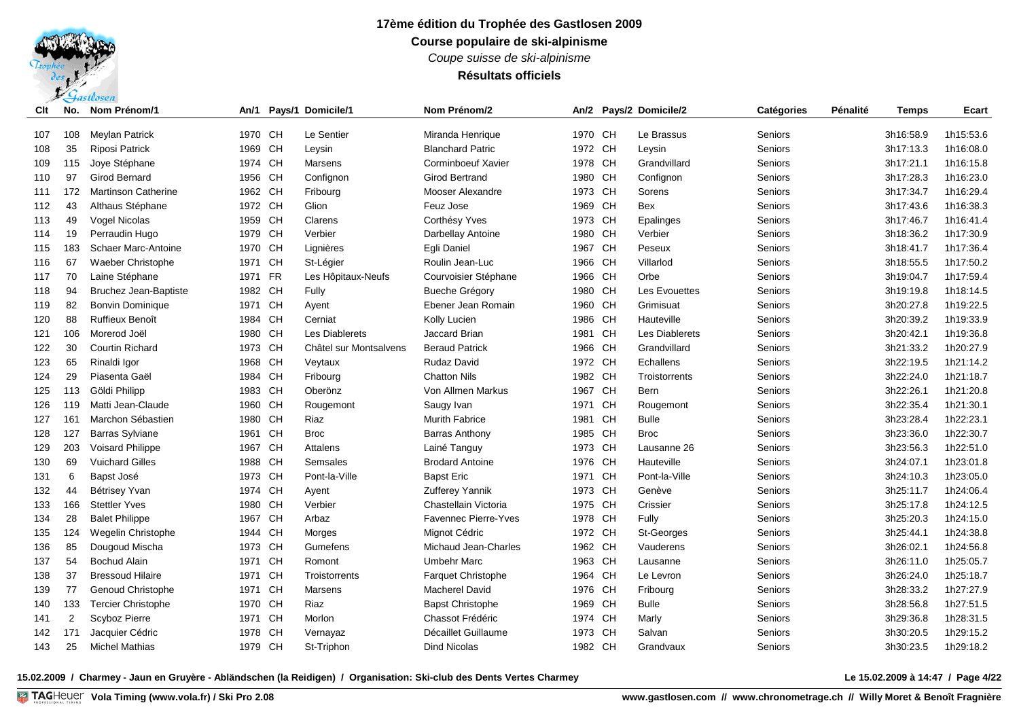*Coupe suisse de ski-alpinisme*

## **Résultats officiels**

| Clt | No.            | Nom Prénom/1               | An/1    |           | Pays/1 Domicile/1      | Nom Prénom/2                |         |           | An/2 Pays/2 Domicile/2 | Catégories | Pénalité | Temps     | Ecart     |
|-----|----------------|----------------------------|---------|-----------|------------------------|-----------------------------|---------|-----------|------------------------|------------|----------|-----------|-----------|
| 107 | 108            | <b>Meylan Patrick</b>      | 1970 CH |           | Le Sentier             | Miranda Henrique            | 1970 CH |           | Le Brassus             | Seniors    |          | 3h16:58.9 | 1h15:53.6 |
| 108 | 35             | <b>Riposi Patrick</b>      | 1969    | CH        | Leysin                 | <b>Blanchard Patric</b>     | 1972 CH |           | Leysin                 | Seniors    |          | 3h17:13.3 | 1h16:08.0 |
| 109 | 115            | Joye Stéphane              | 1974 CH |           | Marsens                | Corminboeuf Xavier          | 1978 CH |           | Grandvillard           | Seniors    |          | 3h17:21.1 | 1h16:15.8 |
| 110 | 97             | <b>Girod Bernard</b>       | 1956    | CH        | Confignon              | <b>Girod Bertrand</b>       | 1980    | <b>CH</b> | Confignon              | Seniors    |          | 3h17:28.3 | 1h16:23.0 |
| 111 | 172            | <b>Martinson Catherine</b> | 1962 CH |           | Fribourg               | Mooser Alexandre            | 1973    | <b>CH</b> | Sorens                 | Seniors    |          | 3h17:34.7 | 1h16:29.4 |
| 112 | 43             | Althaus Stéphane           | 1972 CH |           | Glion                  | Feuz Jose                   | 1969    | <b>CH</b> | <b>Bex</b>             | Seniors    |          | 3h17:43.6 | 1h16:38.3 |
| 113 | 49             | Vogel Nicolas              | 1959 CH |           | Clarens                | Corthésy Yves               | 1973    | <b>CH</b> | Epalinges              | Seniors    |          | 3h17:46.7 | 1h16:41.4 |
| 114 | 19             | Perraudin Hugo             | 1979    | CH        | Verbier                | Darbellay Antoine           | 1980    | <b>CH</b> | Verbier                | Seniors    |          | 3h18:36.2 | 1h17:30.9 |
| 115 | 183            | <b>Schaer Marc-Antoine</b> | 1970 CH |           | Lignières              | Egli Daniel                 | 1967    | CH        | Peseux                 | Seniors    |          | 3h18:41.7 | 1h17:36.4 |
| 116 | 67             | Waeber Christophe          | 1971    | CH        | St-Légier              | Roulin Jean-Luc             | 1966    | <b>CH</b> | Villarlod              | Seniors    |          | 3h18:55.5 | 1h17:50.2 |
| 117 | 70             | Laine Stéphane             | 1971 FR |           | Les Hôpitaux-Neufs     | Courvoisier Stéphane        | 1966 CH |           | Orbe                   | Seniors    |          | 3h19:04.7 | 1h17:59.4 |
| 118 | 94             | Bruchez Jean-Baptiste      | 1982 CH |           | Fully                  | <b>Bueche Grégory</b>       | 1980 CH |           | Les Evouettes          | Seniors    |          | 3h19:19.8 | 1h18:14.5 |
| 119 | 82             | <b>Bonvin Dominique</b>    | 1971 CH |           | Ayent                  | Ebener Jean Romain          | 1960 CH |           | Grimisuat              | Seniors    |          | 3h20:27.8 | 1h19:22.5 |
| 120 | 88             | <b>Ruffieux Benoît</b>     | 1984 CH |           | Cerniat                | Kolly Lucien                | 1986 CH |           | Hauteville             | Seniors    |          | 3h20:39.2 | 1h19:33.9 |
| 121 | 106            | Morerod Joël               | 1980    | CH        | Les Diablerets         | Jaccard Brian               | 1981    | <b>CH</b> | Les Diablerets         | Seniors    |          | 3h20:42.1 | 1h19:36.8 |
| 122 | 30             | <b>Courtin Richard</b>     | 1973 CH |           | Châtel sur Montsalvens | <b>Beraud Patrick</b>       | 1966    | <b>CH</b> | Grandvillard           | Seniors    |          | 3h21:33.2 | 1h20:27.9 |
| 123 | 65             | Rinaldi Igor               | 1968    | CH        | Veytaux                | Rudaz David                 | 1972 CH |           | Echallens              | Seniors    |          | 3h22:19.5 | 1h21:14.2 |
| 124 | 29             | Piasenta Gaël              | 1984 CH |           | Fribourg               | <b>Chatton Nils</b>         | 1982 CH |           | Troistorrents          | Seniors    |          | 3h22:24.0 | 1h21:18.7 |
| 125 | 113            | Göldi Philipp              | 1983 CH |           | Oberönz                | Von Allmen Markus           | 1967    | <b>CH</b> | <b>Bern</b>            | Seniors    |          | 3h22:26.1 | 1h21:20.8 |
| 126 | 119            | Matti Jean-Claude          | 1960    | <b>CH</b> | Rougemont              | Saugy Ivan                  | 1971    | <b>CH</b> | Rougemont              | Seniors    |          | 3h22:35.4 | 1h21:30.1 |
| 127 | 161            | Marchon Sébastien          | 1980    | <b>CH</b> | Riaz                   | <b>Murith Fabrice</b>       | 1981    | <b>CH</b> | <b>Bulle</b>           | Seniors    |          | 3h23:28.4 | 1h22:23.1 |
| 128 | 127            | <b>Barras Sylviane</b>     | 1961    | CH        | <b>Broc</b>            | <b>Barras Anthony</b>       | 1985    | <b>CH</b> | <b>Broc</b>            | Seniors    |          | 3h23:36.0 | 1h22:30.7 |
| 129 | 203            | Voisard Philippe           | 1967    | CH        | Attalens               | Lainé Tanguy                | 1973    | <b>CH</b> | Lausanne 26            | Seniors    |          | 3h23:56.3 | 1h22:51.0 |
| 130 | 69             | <b>Vuichard Gilles</b>     | 1988    | CH        | Semsales               | <b>Brodard Antoine</b>      | 1976 CH |           | Hauteville             | Seniors    |          | 3h24:07.1 | 1h23:01.8 |
| 131 | 6              | Bapst José                 | 1973 CH |           | Pont-la-Ville          | <b>Bapst Eric</b>           | 1971    | <b>CH</b> | Pont-la-Ville          | Seniors    |          | 3h24:10.3 | 1h23:05.0 |
| 132 | 44             | Bétrisey Yvan              | 1974 CH |           | Ayent                  | <b>Zufferey Yannik</b>      | 1973 CH |           | Genève                 | Seniors    |          | 3h25:11.7 | 1h24:06.4 |
| 133 | 166            | <b>Stettler Yves</b>       | 1980    | CH        | Verbier                | Chastellain Victoria        | 1975 CH |           | Crissier               | Seniors    |          | 3h25:17.8 | 1h24:12.5 |
| 134 | 28             | <b>Balet Philippe</b>      | 1967 CH |           | Arbaz                  | <b>Favennec Pierre-Yves</b> | 1978 CH |           | Fully                  | Seniors    |          | 3h25:20.3 | 1h24:15.0 |
| 135 | 124            | Wegelin Christophe         | 1944 CH |           | Morges                 | Mignot Cédric               | 1972 CH |           | St-Georges             | Seniors    |          | 3h25:44.1 | 1h24:38.8 |
| 136 | 85             | Dougoud Mischa             | 1973 CH |           | Gumefens               | Michaud Jean-Charles        | 1962 CH |           | Vauderens              | Seniors    |          | 3h26:02.1 | 1h24:56.8 |
| 137 | 54             | <b>Bochud Alain</b>        | 1971    | CH        | Romont                 | <b>Umbehr Marc</b>          | 1963    | <b>CH</b> | Lausanne               | Seniors    |          | 3h26:11.0 | 1h25:05.7 |
| 138 | 37             | <b>Bressoud Hilaire</b>    | 1971    | CH        | Troistorrents          | <b>Farquet Christophe</b>   | 1964    | <b>CH</b> | Le Levron              | Seniors    |          | 3h26:24.0 | 1h25:18.7 |
| 139 | 77             | Genoud Christophe          | 1971    | <b>CH</b> | Marsens                | <b>Macherel David</b>       | 1976 CH |           | Fribourg               | Seniors    |          | 3h28:33.2 | 1h27:27.9 |
| 140 | 133            | <b>Tercier Christophe</b>  | 1970 CH |           | Riaz                   | <b>Bapst Christophe</b>     | 1969 CH |           | <b>Bulle</b>           | Seniors    |          | 3h28:56.8 | 1h27:51.5 |
| 141 | $\overline{2}$ | Scyboz Pierre              | 1971    | CH        | Morlon                 | Chassot Frédéric            | 1974    | <b>CH</b> | Marly                  | Seniors    |          | 3h29:36.8 | 1h28:31.5 |
| 142 | 171            | Jacquier Cédric            | 1978    | <b>CH</b> | Vernayaz               | Décaillet Guillaume         | 1973    | <b>CH</b> | Salvan                 | Seniors    |          | 3h30:20.5 | 1h29:15.2 |
| 143 | 25             | <b>Michel Mathias</b>      | 1979 CH |           | St-Triphon             | <b>Dind Nicolas</b>         | 1982 CH |           | Grandvaux              | Seniors    |          | 3h30:23.5 | 1h29:18.2 |

**15.02.2009 / Charmey - Jaun en Gruyère - Abländschen (la Reidigen) / Organisation: Ski-club des Dents Vertes Charmey Le 15.02.2009 à 14:47 / Page 4/22**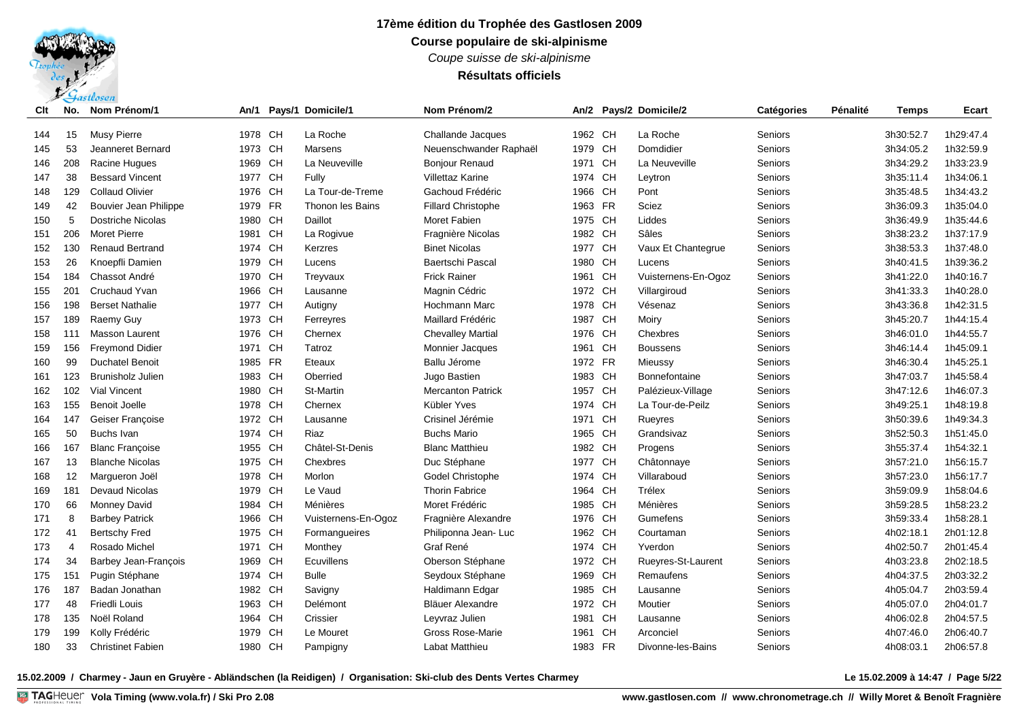*Coupe suisse de ski-alpinisme*

## **Résultats officiels**

| Clt | No.            | Nom Prénom/1                |         |           | An/1 Pays/1 Domicile/1 | Nom Prénom/2              |         |           | An/2 Pays/2 Domicile/2 | Catégories     | Pénalité | <b>Temps</b> | Ecart     |
|-----|----------------|-----------------------------|---------|-----------|------------------------|---------------------------|---------|-----------|------------------------|----------------|----------|--------------|-----------|
| 144 | 15             | Musy Pierre                 | 1978 CH |           | La Roche               | Challande Jacques         | 1962 CH |           | La Roche               | <b>Seniors</b> |          | 3h30:52.7    | 1h29:47.4 |
| 145 | 53             | Jeanneret Bernard           | 1973 CH |           | Marsens                | Neuenschwander Raphaël    | 1979 CH |           | Domdidier              | Seniors        |          | 3h34:05.2    | 1h32:59.9 |
| 146 | 208            | Racine Hugues               | 1969 CH |           | La Neuveville          | <b>Bonjour Renaud</b>     | 1971 CH |           | La Neuveville          | Seniors        |          | 3h34:29.2    | 1h33:23.9 |
| 147 | 38             | <b>Bessard Vincent</b>      | 1977    | <b>CH</b> | Fully                  | <b>Villettaz Karine</b>   | 1974    | CH        | Leytron                | Seniors        |          | 3h35:11.4    | 1h34:06.1 |
| 148 | 129            | <b>Collaud Olivier</b>      | 1976    | CH        | La Tour-de-Treme       | Gachoud Frédéric          | 1966    | CH        | Pont                   | Seniors        |          | 3h35:48.5    | 1h34:43.2 |
| 149 | 42             | Bouvier Jean Philippe       | 1979    | <b>FR</b> | Thonon les Bains       | <b>Fillard Christophe</b> | 1963    | <b>FR</b> | Sciez                  | Seniors        |          | 3h36:09.3    | 1h35:04.0 |
| 150 | 5              | <b>Dostriche Nicolas</b>    | 1980    | <b>CH</b> | Daillot                | Moret Fabien              | 1975 CH |           | Liddes                 | Seniors        |          | 3h36:49.9    | 1h35:44.6 |
| 151 | 206            | <b>Moret Pierre</b>         | 1981    | <b>CH</b> | La Rogivue             | Fragnière Nicolas         | 1982 CH |           | Sâles                  | Seniors        |          | 3h38:23.2    | 1h37:17.9 |
| 152 | 130            | <b>Renaud Bertrand</b>      | 1974 CH |           | Kerzres                | <b>Binet Nicolas</b>      | 1977 CH |           | Vaux Et Chantegrue     | Seniors        |          | 3h38:53.3    | 1h37:48.0 |
| 153 | 26             | Knoepfli Damien             | 1979 CH |           | Lucens                 | Baertschi Pascal          | 1980 CH |           | Lucens                 | Seniors        |          | 3h40:41.5    | 1h39:36.2 |
| 154 | 184            | Chassot André               | 1970 CH |           | Treyvaux               | <b>Frick Rainer</b>       | 1961 CH |           | Vuisternens-En-Ogoz    | Seniors        |          | 3h41:22.0    | 1h40:16.7 |
| 155 | 201            | <b>Cruchaud Yvan</b>        | 1966 CH |           | Lausanne               | Magnin Cédric             | 1972 CH |           | Villargiroud           | Seniors        |          | 3h41:33.3    | 1h40:28.0 |
| 156 | 198            | <b>Berset Nathalie</b>      | 1977 CH |           | Autigny                | Hochmann Marc             | 1978 CH |           | Vésenaz                | Seniors        |          | 3h43:36.8    | 1h42:31.5 |
| 157 | 189            | Raemy Guy                   | 1973 CH |           | Ferreyres              | Maillard Frédéric         | 1987 CH |           | Moiry                  | Seniors        |          | 3h45:20.7    | 1h44:15.4 |
| 158 | 111            | <b>Masson Laurent</b>       | 1976    | <b>CH</b> | Chernex                | <b>Chevalley Martial</b>  | 1976 CH |           | Chexbres               | Seniors        |          | 3h46:01.0    | 1h44:55.7 |
| 159 | 156            | <b>Freymond Didier</b>      | 1971 CH |           | Tatroz                 | Monnier Jacques           | 1961 CH |           | <b>Boussens</b>        | Seniors        |          | 3h46:14.4    | 1h45:09.1 |
| 160 | 99             | <b>Duchatel Benoit</b>      | 1985    | <b>FR</b> | Eteaux                 | Ballu Jérome              | 1972 FR |           | Mieussy                | Seniors        |          | 3h46:30.4    | 1h45:25.1 |
| 161 | 123            | <b>Brunisholz Julien</b>    | 1983 CH |           | Oberried               | Jugo Bastien              | 1983 CH |           | Bonnefontaine          | Seniors        |          | 3h47:03.7    | 1h45:58.4 |
| 162 | 102            | <b>Vial Vincent</b>         | 1980 CH |           | St-Martin              | <b>Mercanton Patrick</b>  | 1957 CH |           | Palézieux-Village      | Seniors        |          | 3h47:12.6    | 1h46:07.3 |
| 163 | 155            | <b>Benoit Joelle</b>        | 1978 CH |           | Chernex                | Kübler Yves               | 1974    | CH        | La Tour-de-Peilz       | Seniors        |          | 3h49:25.1    | 1h48:19.8 |
| 164 | 147            | Geiser Françoise            | 1972 CH |           | Lausanne               | Crisinel Jérémie          | 1971    | CH        | Rueyres                | Seniors        |          | 3h50:39.6    | 1h49:34.3 |
| 165 | 50             | <b>Buchs Ivan</b>           | 1974 CH |           | Riaz                   | <b>Buchs Mario</b>        | 1965    | CH        | Grandsivaz             | Seniors        |          | 3h52:50.3    | 1h51:45.0 |
| 166 | 167            | <b>Blanc Françoise</b>      | 1955    | CH        | Châtel-St-Denis        | <b>Blanc Matthieu</b>     | 1982 CH |           | Progens                | Seniors        |          | 3h55:37.4    | 1h54:32.1 |
| 167 | 13             | <b>Blanche Nicolas</b>      | 1975 CH |           | Chexbres               | Duc Stéphane              | 1977    | CH        | Châtonnaye             | Seniors        |          | 3h57:21.0    | 1h56:15.7 |
| 168 | 12             | Margueron Joël              | 1978 CH |           | Morlon                 | Godel Christophe          | 1974 CH |           | Villaraboud            | Seniors        |          | 3h57:23.0    | 1h56:17.7 |
| 169 | 181            | <b>Devaud Nicolas</b>       | 1979 CH |           | Le Vaud                | <b>Thorin Fabrice</b>     | 1964 CH |           | Trélex                 | Seniors        |          | 3h59:09.9    | 1h58:04.6 |
| 170 | 66             | <b>Monney David</b>         | 1984 CH |           | Ménières               | Moret Frédéric            | 1985 CH |           | Ménières               | Seniors        |          | 3h59:28.5    | 1h58:23.2 |
| 171 | 8              | <b>Barbey Patrick</b>       | 1966    | CH        | Vuisternens-En-Ogoz    | Fragnière Alexandre       | 1976 CH |           | Gumefens               | Seniors        |          | 3h59:33.4    | 1h58:28.1 |
| 172 | 41             | <b>Bertschy Fred</b>        | 1975 CH |           | Formangueires          | Philiponna Jean-Luc       | 1962 CH |           | Courtaman              | Seniors        |          | 4h02:18.1    | 2h01:12.8 |
| 173 | $\overline{4}$ | Rosado Michel               | 1971 CH |           | Monthey                | Graf René                 | 1974 CH |           | Yverdon                | Seniors        |          | 4h02:50.7    | 2h01:45.4 |
| 174 | 34             | <b>Barbey Jean-François</b> | 1969    | <b>CH</b> | <b>Ecuvillens</b>      | Oberson Stéphane          | 1972 CH |           | Rueyres-St-Laurent     | Seniors        |          | 4h03:23.8    | 2h02:18.5 |
| 175 | 151            | Pugin Stéphane              | 1974 CH |           | <b>Bulle</b>           | Seydoux Stéphane          | 1969 CH |           | Remaufens              | Seniors        |          | 4h04:37.5    | 2h03:32.2 |
| 176 | 187            | Badan Jonathan              | 1982    | CH        | Savigny                | Haldimann Edgar           | 1985 CH |           | Lausanne               | Seniors        |          | 4h05:04.7    | 2h03:59.4 |
| 177 | 48             | <b>Friedli Louis</b>        | 1963 CH |           | Delémont               | Bläuer Alexandre          | 1972 CH |           | Moutier                | Seniors        |          | 4h05:07.0    | 2h04:01.7 |
| 178 | 135            | Noël Roland                 | 1964 CH |           | Crissier               | Leyvraz Julien            | 1981    | CH        | Lausanne               | Seniors        |          | 4h06:02.8    | 2h04:57.5 |
| 179 | 199            | Kolly Frédéric              | 1979    | <b>CH</b> | Le Mouret              | Gross Rose-Marie          | 1961    | <b>CH</b> | Arconciel              | Seniors        |          | 4h07:46.0    | 2h06:40.7 |
| 180 | 33             | <b>Christinet Fabien</b>    | 1980 CH |           | Pampigny               | <b>Labat Matthieu</b>     | 1983 FR |           | Divonne-les-Bains      | Seniors        |          | 4h08:03.1    | 2h06:57.8 |

**15.02.2009 / Charmey - Jaun en Gruyère - Abländschen (la Reidigen) / Organisation: Ski-club des Dents Vertes Charmey Le 15.02.2009 à 14:47 / Page 5/22**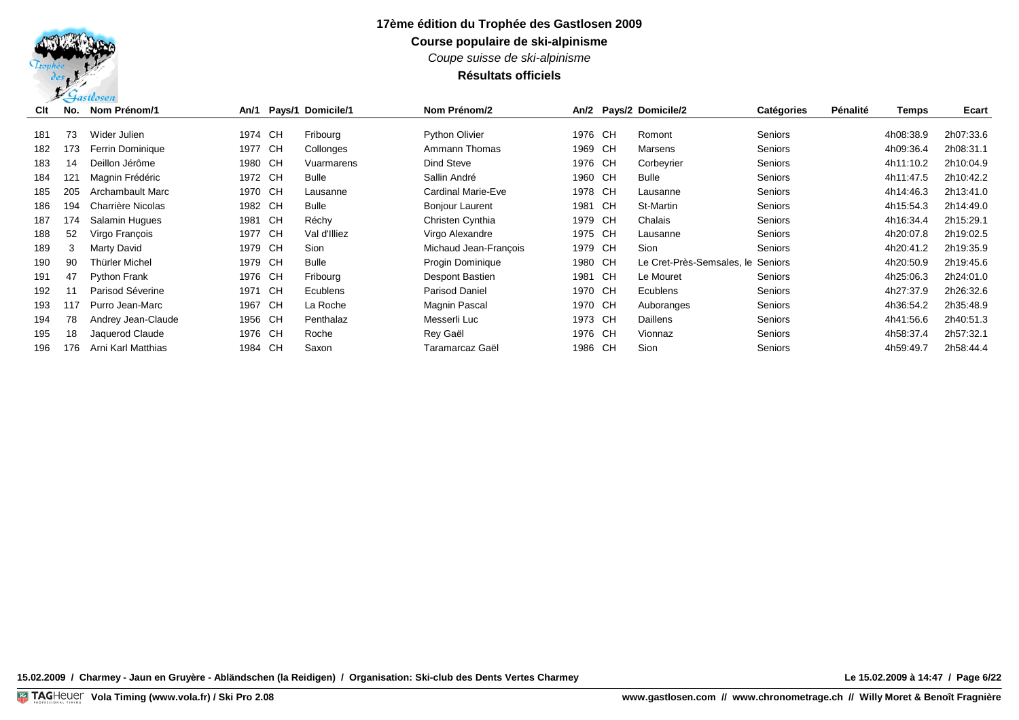*Coupe suisse de ski-alpinisme*

## **Résultats officiels**

| Clt | No. | Nom Prénom/1        |         |      | An/1 Pays/1 Domicile/1 | Nom Prénom/2           |         |    | An/2 Pays/2 Domicile/2            | <b>Catégories</b> | Pénalité | Temps     | <b>Ecart</b> |
|-----|-----|---------------------|---------|------|------------------------|------------------------|---------|----|-----------------------------------|-------------------|----------|-----------|--------------|
|     |     |                     |         |      |                        |                        |         |    |                                   |                   |          |           |              |
| 181 | 73  | Wider Julien        | 1974 CH |      | Fribourg               | <b>Python Olivier</b>  | 1976 CH |    | Romont                            | <b>Seniors</b>    |          | 4h08:38.9 | 2h07:33.6    |
| 182 | 173 | Ferrin Dominique    | 1977 CH |      | Collonges              | Ammann Thomas          | 1969 CH |    | <b>Marsens</b>                    | <b>Seniors</b>    |          | 4h09:36.4 | 2h08:31.1    |
| 183 | 14  | Deillon Jérôme      | 1980 CH |      | Vuarmarens             | Dind Steve             | 1976 CH |    | Corbeyrier                        | <b>Seniors</b>    |          | 4h11:10.2 | 2h10:04.9    |
| 184 | 121 | Magnin Frédéric     | 1972 CH |      | Bulle                  | Sallin André           | 1960 CH |    | Bulle                             | <b>Seniors</b>    |          | 4h11:47.5 | 2h10:42.2    |
| 185 | 205 | Archambault Marc    | 1970 CH |      | Lausanne               | Cardinal Marie-Eve     | 1978 CH |    | Lausanne                          | <b>Seniors</b>    |          | 4h14:46.3 | 2h13:41.0    |
| 186 | 194 | Charrière Nicolas   | 1982 CH |      | Bulle                  | <b>Bonjour Laurent</b> | 1981    | CH | St-Martin                         | <b>Seniors</b>    |          | 4h15.54.3 | 2h14:49.0    |
| 187 | 174 | Salamin Hugues      | 1981    | CH   | Réchy                  | Christen Cynthia       | 1979 CH |    | Chalais                           | <b>Seniors</b>    |          | 4h16:34.4 | 2h15:29.1    |
| 188 | 52  | Virgo François      | 1977    | - CH | Val d'Illiez           | Virgo Alexandre        | 1975 CH |    | Lausanne                          | <b>Seniors</b>    |          | 4h20:07.8 | 2h19:02.5    |
| 189 | 3   | Marty David         | 1979 CH |      | Sion                   | Michaud Jean-Francois  | 1979 CH |    | Sion                              | <b>Seniors</b>    |          | 4h20:41.2 | 2h19:35.9    |
| 190 | 90  | Thürler Michel      | 1979 CH |      | <b>Bulle</b>           | Progin Dominique       | 1980 CH |    | Le Cret-Près-Semsales, le Seniors |                   |          | 4h20:50.9 | 2h19:45.6    |
| 191 | 47  | <b>Python Frank</b> | 1976 CH |      | Fribourg               | Despont Bastien        | 1981 CH |    | Le Mouret                         | <b>Seniors</b>    |          | 4h25:06.3 | 2h24:01.0    |
| 192 | 11  | Parisod Séverine    | 1971    | CH   | Ecublens               | <b>Parisod Daniel</b>  | 1970 CH |    | <b>Ecublens</b>                   | <b>Seniors</b>    |          | 4h27:37.9 | 2h26:32.6    |
| 193 | 117 | Purro Jean-Marc     | 1967 CH |      | La Roche               | Magnin Pascal          | 1970 CH |    | Auboranges                        | Seniors           |          | 4h36:54.2 | 2h35:48.9    |
| 194 | 78  | Andrey Jean-Claude  | 1956 CH |      | Penthalaz              | Messerli Luc           | 1973 CH |    | Daillens                          | <b>Seniors</b>    |          | 4h41:56.6 | 2h40:51.3    |
| 195 | 18  | Jaquerod Claude     | 1976 CH |      | Roche                  | Rev Gaël               | 1976 CH |    | Vionnaz                           | Seniors           |          | 4h58:37.4 | 2h57:32.1    |
| 196 | 176 | Arni Karl Matthias  | 1984 CH |      | Saxon                  | Taramarcaz Gaël        | 1986 CH |    | Sion                              | <b>Seniors</b>    |          | 4h59:49.7 | 2h58:44.4    |

**15.02.2009 / Charmey - Jaun en Gruyère - Abländschen (la Reidigen) / Organisation: Ski-club des Dents Vertes Charmey Le 15.02.2009 à 14:47 / Page 6/22**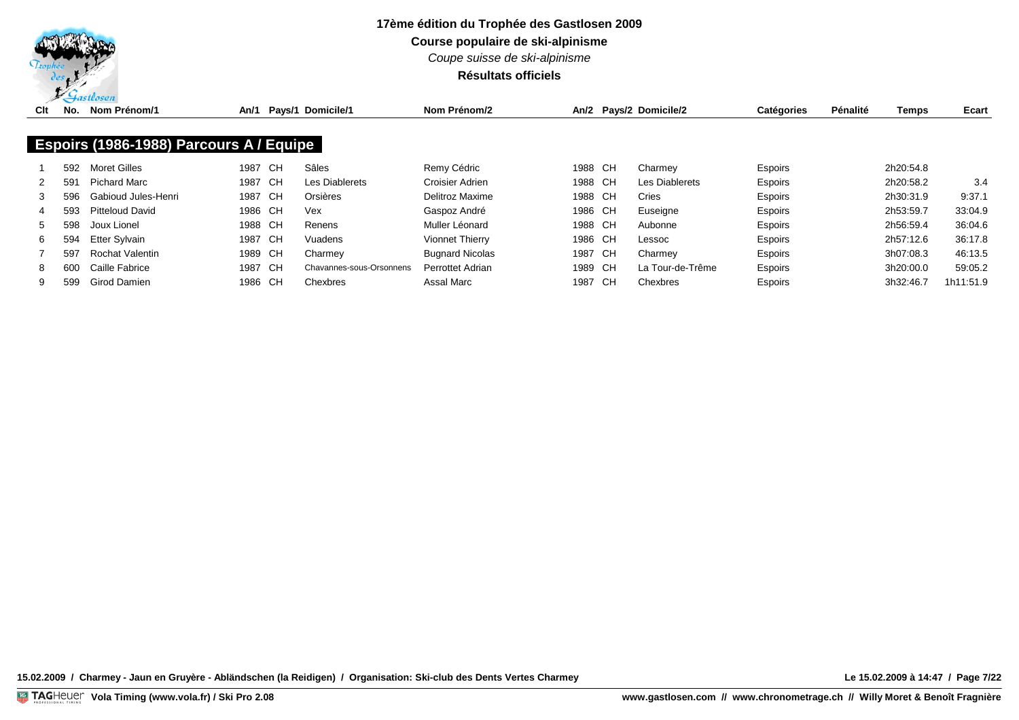

**Course populaire de ski-alpinisme**

*Coupe suisse de ski-alpinisme*

## **Résultats officiels**

| Clt | $\tilde{\phantom{a}}$<br>No. | Nom Prénom/1                            | An/1    |     | Pays/1 Domicile/1        | Nom Prénom/2            |         |      | An/2 Pays/2 Domicile/2 | <b>Catégories</b> | Pénalité | Temps     | Ecart     |
|-----|------------------------------|-----------------------------------------|---------|-----|--------------------------|-------------------------|---------|------|------------------------|-------------------|----------|-----------|-----------|
|     |                              |                                         |         |     |                          |                         |         |      |                        |                   |          |           |           |
|     |                              | Espoirs (1986-1988) Parcours A / Equipe |         |     |                          |                         |         |      |                        |                   |          |           |           |
|     | 592                          | Moret Gilles                            | 1987    | CH. | Sâles                    | Remy Cédric             | 1988 CH |      | Charmey                | <b>Espoirs</b>    |          | 2h20:54.8 |           |
| 2   | 591                          | Pichard Marc                            | 1987 CH |     | Les Diablerets           | Croisier Adrien         | 1988 CH |      | <b>Les Diablerets</b>  | <b>Espoirs</b>    |          | 2h20:58.2 | 3.4       |
| 3   | 596                          | Gabioud Jules-Henri                     | 1987 CH |     | Orsières                 | Delitroz Maxime         | 1988 CH |      | Cries                  | <b>Espoirs</b>    |          | 2h30:31.9 | 9:37.1    |
|     | 593                          | <b>Pitteloud David</b>                  | 1986 CH |     | Vex                      | Gaspoz André            | 1986 CH |      | Euseigne               | <b>Espoirs</b>    |          | 2h53:59.7 | 33:04.9   |
| 5   | 598                          | Joux Lionel                             | 1988 CH |     | Renens                   | Muller Léonard          | 1988 CH |      | Aubonne                | <b>Espoirs</b>    |          | 2h56:59.4 | 36:04.6   |
| 6.  | 594                          | Etter Sylvain                           | 1987 CH |     | Vuadens                  | <b>Vionnet Thierry</b>  | 1986 CH |      | Lessoc                 | Espoirs           |          | 2h57:12.6 | 36:17.8   |
|     | 597                          | Rochat Valentin                         | 1989 CH |     | Charmey                  | <b>Bugnard Nicolas</b>  | 1987 CH |      | Charmey                | <b>Espoirs</b>    |          | 3h07:08.3 | 46:13.5   |
| 8   | 600                          | Caille Fabrice                          | 1987 CH |     | Chavannes-sous-Orsonnens | <b>Perrottet Adrian</b> | 1989 CH |      | La Tour-de-Trême       | <b>Espoirs</b>    |          | 3h20:00.0 | 59:05.2   |
|     | 599                          | <b>Girod Damien</b>                     | 1986 CH |     | Chexbres                 | Assal Marc              | 1987    | - CH | Chexbres               | <b>Espoirs</b>    |          | 3h32:46.7 | 1h11:51.9 |

**15.02.2009 / Charmey - Jaun en Gruyère - Abländschen (la Reidigen) / Organisation: Ski-club des Dents Vertes Charmey Le 15.02.2009 à 14:47 / Page 7/22**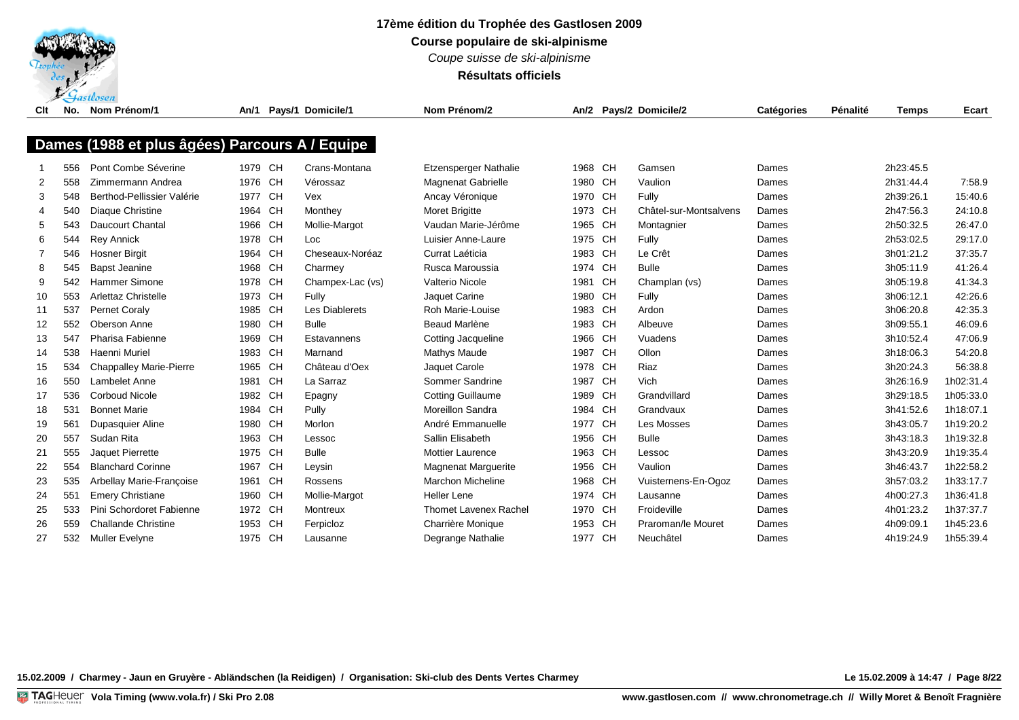

**Course populaire de ski-alpinisme**

*Coupe suisse de ski-alpinisme*

**Résultats officiels**

| Clt | No. | Nom Prénom/1                                   | An/1    |           | Pays/1 Domicile/1 | Nom Prénom/2                 |         |           | An/2 Pays/2 Domicile/2 | <b>Catégories</b> | Pénalité | <b>Temps</b> | Ecart     |
|-----|-----|------------------------------------------------|---------|-----------|-------------------|------------------------------|---------|-----------|------------------------|-------------------|----------|--------------|-----------|
|     |     |                                                |         |           |                   |                              |         |           |                        |                   |          |              |           |
|     |     | Dames (1988 et plus âgées) Parcours A / Equipe |         |           |                   |                              |         |           |                        |                   |          |              |           |
|     | 556 | Pont Combe Séverine                            | 1979 CH |           | Crans-Montana     | <b>Etzensperger Nathalie</b> | 1968 CH |           | Gamsen                 | Dames             |          | 2h23:45.5    |           |
| 2   | 558 | Zimmermann Andrea                              | 1976 CH |           | Vérossaz          | <b>Magnenat Gabrielle</b>    | 1980 CH |           | Vaulion                | Dames             |          | 2h31:44.4    | 7:58.9    |
| 3   | 548 | Berthod-Pellissier Valérie                     | 1977 CH |           | Vex               | Ancay Véronique              | 1970 CH |           | Fully                  | Dames             |          | 2h39:26.1    | 15:40.6   |
| 4   | 540 | Diaque Christine                               | 1964 CH |           | Monthey           | <b>Moret Brigitte</b>        | 1973 CH |           | Châtel-sur-Montsalvens | Dames             |          | 2h47:56.3    | 24:10.8   |
| 5   | 543 | <b>Daucourt Chantal</b>                        | 1966 CH |           | Mollie-Margot     | Vaudan Marie-Jérôme          | 1965 CH |           | Montagnier             | Dames             |          | 2h50:32.5    | 26:47.0   |
| 6   | 544 | <b>Rey Annick</b>                              | 1978 CH |           | Loc               | Luisier Anne-Laure           | 1975 CH |           | Fully                  | Dames             |          | 2h53:02.5    | 29:17.0   |
|     | 546 | <b>Hosner Birgit</b>                           | 1964 CH |           | Cheseaux-Noréaz   | Currat Laéticia              | 1983 CH |           | Le Crêt                | Dames             |          | 3h01:21.2    | 37:35.7   |
| 8   | 545 | <b>Bapst Jeanine</b>                           | 1968    | CH        | Charmey           | Rusca Maroussia              | 1974 CH |           | <b>Bulle</b>           | Dames             |          | 3h05:11.9    | 41:26.4   |
| 9   | 542 | Hammer Simone                                  | 1978 CH |           | Champex-Lac (vs)  | Valterio Nicole              | 1981    | CH        | Champlan (vs)          | Dames             |          | 3h05:19.8    | 41:34.3   |
| 10  | 553 | <b>Arlettaz Christelle</b>                     | 1973 CH |           | Fully             | Jaquet Carine                | 1980    | <b>CH</b> | Fully                  | Dames             |          | 3h06:12.1    | 42:26.6   |
| 11  | 537 | <b>Pernet Coraly</b>                           | 1985 CH |           | Les Diablerets    | Roh Marie-Louise             | 1983 CH |           | Ardon                  | Dames             |          | 3h06:20.8    | 42:35.3   |
| 12  | 552 | Oberson Anne                                   | 1980 CH |           | <b>Bulle</b>      | Beaud Marlène                | 1983 CH |           | Albeuve                | Dames             |          | 3h09:55.1    | 46:09.6   |
| 13  | 547 | Pharisa Fabienne                               | 1969 CH |           | Estavannens       | <b>Cotting Jacqueline</b>    | 1966 CH |           | Vuadens                | Dames             |          | 3h10:52.4    | 47:06.9   |
| 14  | 538 | Haenni Muriel                                  | 1983 CH |           | Marnand           | Mathys Maude                 | 1987 CH |           | Ollon                  | Dames             |          | 3h18:06.3    | 54:20.8   |
| 15  | 534 | <b>Chappalley Marie-Pierre</b>                 | 1965 CH |           | Château d'Oex     | Jaquet Carole                | 1978 CH |           | Riaz                   | Dames             |          | 3h20:24.3    | 56:38.8   |
| 16  | 550 | Lambelet Anne                                  | 1981 CH |           | La Sarraz         | Sommer Sandrine              | 1987    | <b>CH</b> | Vich                   | Dames             |          | 3h26:16.9    | 1h02:31.4 |
| 17  | 536 | <b>Corboud Nicole</b>                          | 1982 CH |           | Epagny            | <b>Cotting Guillaume</b>     | 1989 CH |           | Grandvillard           | Dames             |          | 3h29:18.5    | 1h05:33.0 |
| 18  | 531 | <b>Bonnet Marie</b>                            | 1984 CH |           | Pully             | Moreillon Sandra             | 1984    | <b>CH</b> | Grandvaux              | Dames             |          | 3h41:52.6    | 1h18:07.1 |
| 19  | 561 | Dupasquier Aline                               | 1980 CH |           | Morlon            | André Emmanuelle             | 1977 CH |           | Les Mosses             | Dames             |          | 3h43:05.7    | 1h19:20.2 |
| 20  | 557 | Sudan Rita                                     | 1963 CH |           | Lessoc            | Sallin Elisabeth             | 1956 CH |           | <b>Bulle</b>           | Dames             |          | 3h43:18.3    | 1h19:32.8 |
| 21  | 555 | Jaquet Pierrette                               | 1975 CH |           | <b>Bulle</b>      | <b>Mottier Laurence</b>      | 1963 CH |           | Lessoc                 | Dames             |          | 3h43:20.9    | 1h19:35.4 |
| 22  | 554 | <b>Blanchard Corinne</b>                       | 1967 CH |           | Leysin            | Magnenat Marguerite          | 1956 CH |           | Vaulion                | Dames             |          | 3h46:43.7    | 1h22:58.2 |
| 23  | 535 | Arbellay Marie-Françoise                       | 1961    | <b>CH</b> | Rossens           | <b>Marchon Micheline</b>     | 1968    | <b>CH</b> | Vuisternens-En-Ogoz    | Dames             |          | 3h57:03.2    | 1h33:17.7 |
| 24  | 551 | <b>Emery Christiane</b>                        | 1960 CH |           | Mollie-Margot     | Heller Lene                  | 1974 CH |           | Lausanne               | Dames             |          | 4h00:27.3    | 1h36:41.8 |
| 25  | 533 | Pini Schordoret Fabienne                       | 1972 CH |           | Montreux          | <b>Thomet Lavenex Rachel</b> | 1970 CH |           | Froideville            | Dames             |          | 4h01:23.2    | 1h37:37.7 |
| 26  | 559 | <b>Challande Christine</b>                     | 1953 CH |           | Ferpicloz         | Charrière Monique            | 1953    | <b>CH</b> | Praroman/le Mouret     | Dames             |          | 4h09:09.1    | 1h45:23.6 |
| 27  | 532 | <b>Muller Evelyne</b>                          | 1975 CH |           | Lausanne          | Degrange Nathalie            | 1977 CH |           | Neuchâtel              | Dames             |          | 4h19:24.9    | 1h55:39.4 |

**15.02.2009 / Charmey - Jaun en Gruyère - Abländschen (la Reidigen) / Organisation: Ski-club des Dents Vertes Charmey Le 15.02.2009 à 14:47 / Page 8/22**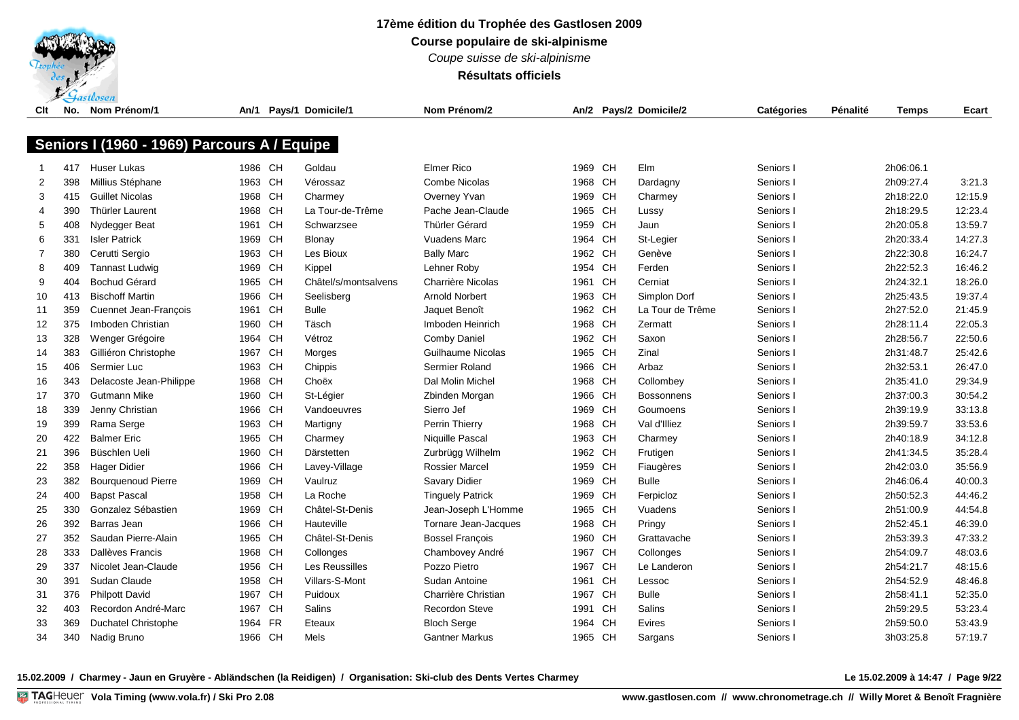

**Course populaire de ski-alpinisme**

*Coupe suisse de ski-alpinisme*

**Résultats officiels**

| Clt | No. | Nom Prénom/1                                | An/1    |           | Pays/1 Domicile/1    | Nom Prénom/2            |         |           | An/2 Pays/2 Domicile/2 | Catégories | Pénalité | <b>Temps</b> | Ecart   |
|-----|-----|---------------------------------------------|---------|-----------|----------------------|-------------------------|---------|-----------|------------------------|------------|----------|--------------|---------|
|     |     |                                             |         |           |                      |                         |         |           |                        |            |          |              |         |
|     |     | Seniors I (1960 - 1969) Parcours A / Equipe |         |           |                      |                         |         |           |                        |            |          |              |         |
|     |     |                                             |         |           |                      |                         |         |           |                        |            |          |              |         |
|     | 417 | Huser Lukas                                 | 1986 CH |           | Goldau               | <b>Elmer Rico</b>       | 1969 CH |           | Elm                    | Seniors I  |          | 2h06:06.1    |         |
| 2   | 398 | Millius Stéphane                            | 1963 CH |           | Vérossaz             | Combe Nicolas           | 1968 CH |           | Dardagny               | Seniors I  |          | 2h09:27.4    | 3:21.3  |
| 3   | 415 | <b>Guillet Nicolas</b>                      | 1968    | CH        | Charmey              | Overney Yvan            | 1969 CH |           | Charmey                | Seniors I  |          | 2h18:22.0    | 12:15.9 |
| 4   | 390 | <b>Thürler Laurent</b>                      | 1968    | CH        | La Tour-de-Trême     | Pache Jean-Claude       | 1965 CH |           | Lussy                  | Seniors I  |          | 2h18:29.5    | 12:23.4 |
| 5   | 408 | Nydegger Beat                               | 1961    | CH        | Schwarzsee           | <b>Thürler Gérard</b>   | 1959 CH |           | Jaun                   | Seniors I  |          | 2h20:05.8    | 13:59.7 |
| 6   | 331 | <b>Isler Patrick</b>                        | 1969    | CH        | Blonay               | <b>Vuadens Marc</b>     | 1964 CH |           | St-Legier              | Seniors I  |          | 2h20:33.4    | 14:27.3 |
| 7   | 380 | Cerutti Sergio                              | 1963    | <b>CH</b> | Les Bioux            | <b>Bally Marc</b>       | 1962 CH |           | Genève                 | Seniors I  |          | 2h22:30.8    | 16:24.7 |
| 8   | 409 | <b>Tannast Ludwig</b>                       | 1969    | <b>CH</b> | Kippel               | Lehner Roby             | 1954 CH |           | Ferden                 | Seniors I  |          | 2h22:52.3    | 16:46.2 |
| 9   | 404 | <b>Bochud Gérard</b>                        | 1965    | <b>CH</b> | Châtel/s/montsalvens | Charrière Nicolas       | 1961 CH |           | Cerniat                | Seniors I  |          | 2h24:32.1    | 18:26.0 |
| 10  | 413 | <b>Bischoff Martin</b>                      | 1966    | CH        | Seelisberg           | <b>Arnold Norbert</b>   | 1963 CH |           | Simplon Dorf           | Seniors I  |          | 2h25:43.5    | 19:37.4 |
| 11  | 359 | Cuennet Jean-François                       | 1961    | CH        | <b>Bulle</b>         | Jaquet Benoît           | 1962 CH |           | La Tour de Trême       | Seniors I  |          | 2h27:52.0    | 21:45.9 |
| 12  | 375 | Imboden Christian                           | 1960 CH |           | Täsch                | Imboden Heinrich        | 1968 CH |           | Zermatt                | Seniors I  |          | 2h28:11.4    | 22:05.3 |
| 13  | 328 | Wenger Grégoire                             | 1964 CH |           | Vétroz               | <b>Comby Daniel</b>     | 1962 CH |           | Saxon                  | Seniors I  |          | 2h28:56.7    | 22:50.6 |
| 14  | 383 | Gilliéron Christophe                        | 1967    | CH        | Morges               | Guilhaume Nicolas       | 1965 CH |           | Zinal                  | Seniors I  |          | 2h31:48.7    | 25:42.6 |
| 15  | 406 | Sermier Luc                                 | 1963    | CH        | Chippis              | Sermier Roland          | 1966 CH |           | Arbaz                  | Seniors I  |          | 2h32:53.1    | 26:47.0 |
| 16  | 343 | Delacoste Jean-Philippe                     | 1968    | CH        | Choëx                | Dal Molin Michel        | 1968 CH |           | Collombey              | Seniors I  |          | 2h35:41.0    | 29:34.9 |
| 17  | 370 | Gutmann Mike                                | 1960    | CH        | St-Légier            | Zbinden Morgan          | 1966 CH |           | <b>Bossonnens</b>      | Seniors I  |          | 2h37:00.3    | 30:54.2 |
| 18  | 339 | Jenny Christian                             | 1966    | CH        | Vandoeuvres          | Sierro Jef              | 1969 CH |           | Goumoens               | Seniors I  |          | 2h39:19.9    | 33:13.8 |
| 19  | 399 | Rama Serge                                  | 1963    | CH        | Martigny             | Perrin Thierry          | 1968 CH |           | Val d'Illiez           | Seniors I  |          | 2h39:59.7    | 33:53.6 |
| 20  | 422 | <b>Balmer Eric</b>                          | 1965    | CH        | Charmey              | Niquille Pascal         | 1963 CH |           | Charmey                | Seniors I  |          | 2h40:18.9    | 34:12.8 |
| 21  | 396 | Büschlen Ueli                               | 1960    | CH        | Därstetten           | Zurbrügg Wilhelm        | 1962 CH |           | Frutigen               | Seniors I  |          | 2h41:34.5    | 35:28.4 |
| 22  | 358 | <b>Hager Didier</b>                         | 1966    | CH        | Lavey-Village        | <b>Rossier Marcel</b>   | 1959 CH |           | Fiaugères              | Seniors I  |          | 2h42:03.0    | 35:56.9 |
| 23  | 382 | <b>Bourguenoud Pierre</b>                   | 1969    | <b>CH</b> | Vaulruz              | <b>Savary Didier</b>    | 1969 CH |           | <b>Bulle</b>           | Seniors I  |          | 2h46:06.4    | 40:00.3 |
| 24  | 400 | <b>Bapst Pascal</b>                         | 1958    | <b>CH</b> | La Roche             | <b>Tinguely Patrick</b> | 1969    | <b>CH</b> | Ferpicloz              | Seniors I  |          | 2h50:52.3    | 44:46.2 |
| 25  | 330 | Gonzalez Sébastien                          | 1969    | <b>CH</b> | Châtel-St-Denis      | Jean-Joseph L'Homme     | 1965 CH |           | Vuadens                | Seniors I  |          | 2h51:00.9    | 44:54.8 |
| 26  | 392 | Barras Jean                                 | 1966    | CH        | Hauteville           | Tornare Jean-Jacques    | 1968 CH |           | Pringy                 | Seniors I  |          | 2h52:45.1    | 46:39.0 |
| 27  | 352 | Saudan Pierre-Alain                         | 1965    | CH        | Châtel-St-Denis      | <b>Bossel François</b>  | 1960 CH |           | Grattavache            | Seniors I  |          | 2h53:39.3    | 47:33.2 |
| 28  | 333 | Dallèves Francis                            | 1968    | <b>CH</b> | Collonges            | Chambovey André         | 1967    | <b>CH</b> | Collonges              | Seniors I  |          | 2h54:09.7    | 48:03.6 |
| 29  | 337 | Nicolet Jean-Claude                         | 1956    | <b>CH</b> | Les Reussilles       | Pozzo Pietro            | 1967    | <b>CH</b> | Le Landeron            | Seniors I  |          | 2h54:21.7    | 48:15.6 |
| 30  | 391 | Sudan Claude                                | 1958    | <b>CH</b> | Villars-S-Mont       | Sudan Antoine           | 1961    | <b>CH</b> | Lessoc                 | Seniors I  |          | 2h54:52.9    | 48:46.8 |
| 31  | 376 | <b>Philpott David</b>                       | 1967    | <b>CH</b> | Puidoux              | Charrière Christian     | 1967    | <b>CH</b> | <b>Bulle</b>           | Seniors I  |          | 2h58:41.1    | 52:35.0 |
| 32  | 403 | Recordon André-Marc                         | 1967    | <b>CH</b> | Salins               | <b>Recordon Steve</b>   | 1991    | <b>CH</b> | <b>Salins</b>          | Seniors I  |          | 2h59:29.5    | 53:23.4 |
| 33  | 369 | Duchatel Christophe                         | 1964    | <b>FR</b> | Eteaux               | <b>Bloch Serge</b>      | 1964    | <b>CH</b> | Evires                 | Seniors    |          | 2h59:50.0    | 53:43.9 |
| 34  | 340 | Nadig Bruno                                 | 1966 CH |           | Mels                 | <b>Gantner Markus</b>   | 1965 CH |           | Sargans                | Seniors I  |          | 3h03:25.8    | 57:19.7 |
|     |     |                                             |         |           |                      |                         |         |           |                        |            |          |              |         |

**15.02.2009 / Charmey - Jaun en Gruyère - Abländschen (la Reidigen) / Organisation: Ski-club des Dents Vertes Charmey Le 15.02.2009 à 14:47 / Page 9/22**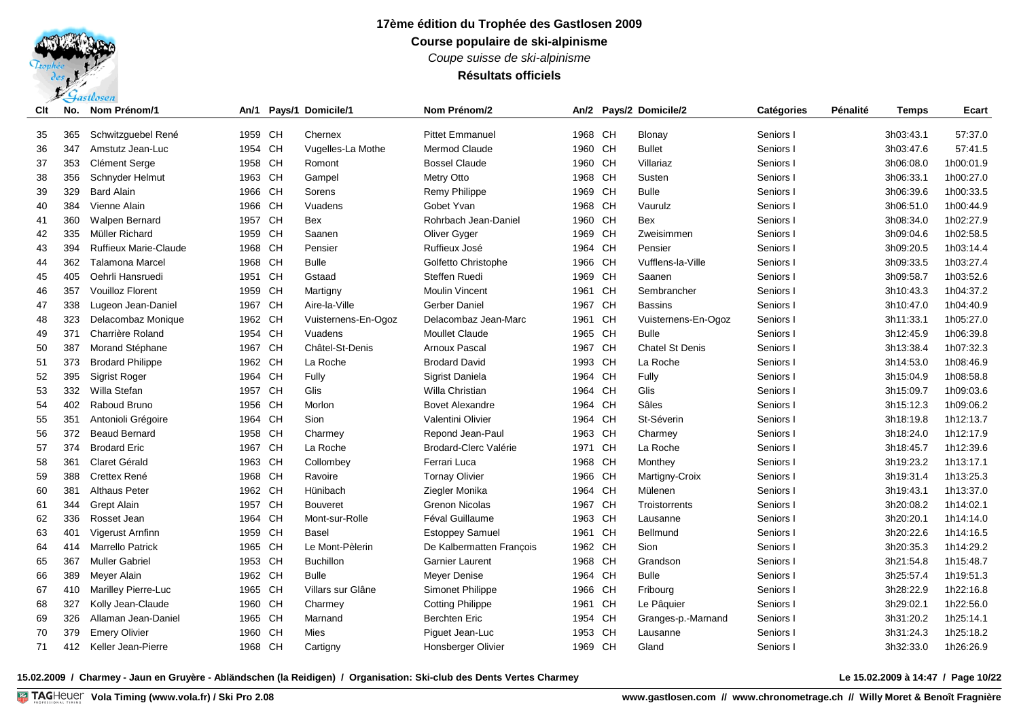*Coupe suisse de ski-alpinisme*

## **Résultats officiels**

| Clt | No. | Nom Prénom/1                 | An/1    |           | Pays/1 Domicile/1   | Nom Prénom/2              | An/2    |           | Pays/2 Domicile/2      | <b>Catégories</b> | Pénalité | <b>Temps</b> | Ecart     |
|-----|-----|------------------------------|---------|-----------|---------------------|---------------------------|---------|-----------|------------------------|-------------------|----------|--------------|-----------|
| 35  | 365 | Schwitzguebel René           | 1959 CH |           | Chernex             | <b>Pittet Emmanuel</b>    | 1968 CH |           | Blonay                 | Seniors I         |          | 3h03:43.1    | 57:37.0   |
| 36  | 347 | Amstutz Jean-Luc             | 1954 CH |           | Vugelles-La Mothe   | Mermod Claude             | 1960 CH |           | <b>Bullet</b>          | Seniors I         |          | 3h03:47.6    | 57:41.5   |
| 37  | 353 | Clément Serge                | 1958 CH |           | Romont              | <b>Bossel Claude</b>      | 1960 CH |           | Villariaz              | Seniors I         |          | 3h06:08.0    | 1h00:01.9 |
| 38  | 356 | Schnyder Helmut              | 1963    | <b>CH</b> | Gampel              | Metry Otto                | 1968 CH |           | Susten                 | Seniors I         |          | 3h06:33.1    | 1h00:27.0 |
| 39  | 329 | <b>Bard Alain</b>            | 1966    | <b>CH</b> | Sorens              | Remy Philippe             | 1969    | CH        | <b>Bulle</b>           | Seniors I         |          | 3h06:39.6    | 1h00:33.5 |
| 40  | 384 | Vienne Alain                 | 1966    | <b>CH</b> | Vuadens             | Gobet Yvan                | 1968    | <b>CH</b> | Vaurulz                | Seniors I         |          | 3h06:51.0    | 1h00:44.9 |
| 41  | 360 | <b>Walpen Bernard</b>        | 1957    | <b>CH</b> | <b>Bex</b>          | Rohrbach Jean-Daniel      | 1960    | <b>CH</b> | <b>Bex</b>             | Seniors I         |          | 3h08:34.0    | 1h02:27.9 |
| 42  | 335 | Müller Richard               | 1959    | <b>CH</b> | Saanen              | Oliver Gyger              | 1969    | CH        | Zweisimmen             | Seniors I         |          | 3h09:04.6    | 1h02:58.5 |
| 43  | 394 | <b>Ruffieux Marie-Claude</b> | 1968    | <b>CH</b> | Pensier             | Ruffieux José             | 1964 CH |           | Pensier                | Seniors I         |          | 3h09:20.5    | 1h03:14.4 |
| 44  | 362 | <b>Talamona Marcel</b>       | 1968    | <b>CH</b> | <b>Bulle</b>        | Golfetto Christophe       | 1966 CH |           | Vufflens-la-Ville      | Seniors I         |          | 3h09:33.5    | 1h03:27.4 |
| 45  | 405 | Oehrli Hansruedi             | 1951 CH |           | Gstaad              | <b>Steffen Ruedi</b>      | 1969 CH |           | Saanen                 | Seniors I         |          | 3h09:58.7    | 1h03:52.6 |
| 46  | 357 | <b>Vouilloz Florent</b>      | 1959    | <b>CH</b> | Martigny            | <b>Moulin Vincent</b>     | 1961 CH |           | Sembrancher            | Seniors I         |          | 3h10:43.3    | 1h04:37.2 |
| 47  | 338 | Lugeon Jean-Daniel           | 1967 CH |           | Aire-la-Ville       | Gerber Daniel             | 1967    | <b>CH</b> | <b>Bassins</b>         | Seniors I         |          | 3h10:47.0    | 1h04:40.9 |
| 48  | 323 | Delacombaz Monique           | 1962 CH |           | Vuisternens-En-Ogoz | Delacombaz Jean-Marc      | 1961 CH |           | Vuisternens-En-Ogoz    | Seniors I         |          | 3h11:33.1    | 1h05:27.0 |
| 49  | 371 | Charrière Roland             | 1954 CH |           | Vuadens             | <b>Moullet Claude</b>     | 1965 CH |           | <b>Bulle</b>           | Seniors I         |          | 3h12:45.9    | 1h06:39.8 |
| 50  | 387 | Morand Stéphane              | 1967 CH |           | Châtel-St-Denis     | <b>Arnoux Pascal</b>      | 1967 CH |           | <b>Chatel St Denis</b> | Seniors I         |          | 3h13:38.4    | 1h07:32.3 |
| 51  | 373 | <b>Brodard Philippe</b>      | 1962 CH |           | La Roche            | <b>Brodard David</b>      | 1993 CH |           | La Roche               | Seniors I         |          | 3h14:53.0    | 1h08:46.9 |
| 52  | 395 | <b>Sigrist Roger</b>         | 1964    | <b>CH</b> | Fully               | Sigrist Daniela           | 1964 CH |           | Fully                  | Seniors I         |          | 3h15:04.9    | 1h08:58.8 |
| 53  | 332 | Willa Stefan                 | 1957    | <b>CH</b> | Glis                | Willa Christian           | 1964 CH |           | Glis                   | Seniors I         |          | 3h15:09.7    | 1h09:03.6 |
| 54  | 402 | Raboud Bruno                 | 1956    | <b>CH</b> | Morlon              | <b>Bovet Alexandre</b>    | 1964    | CH        | Sâles                  | Seniors I         |          | 3h15:12.3    | 1h09:06.2 |
| 55  | 351 | Antonioli Grégoire           | 1964    | <b>CH</b> | Sion                | Valentini Olivier         | 1964    | <b>CH</b> | St-Séverin             | Seniors I         |          | 3h18:19.8    | 1h12:13.7 |
| 56  | 372 | <b>Beaud Bernard</b>         | 1958 CH |           | Charmey             | Repond Jean-Paul          | 1963 CH |           | Charmey                | Seniors I         |          | 3h18:24.0    | 1h12:17.9 |
| 57  | 374 | <b>Brodard Eric</b>          | 1967    | <b>CH</b> | La Roche            | Brodard-Clerc Valérie     | 1971    | CH        | La Roche               | Seniors I         |          | 3h18:45.7    | 1h12:39.6 |
| 58  | 361 | Claret Gérald                | 1963    | <b>CH</b> | Collombey           | Ferrari Luca              | 1968 CH |           | Monthey                | Seniors I         |          | 3h19:23.2    | 1h13:17.1 |
| 59  | 388 | Crettex René                 | 1968    | <b>CH</b> | Ravoire             | <b>Tornay Olivier</b>     | 1966    | CH        | Martigny-Croix         | Seniors I         |          | 3h19:31.4    | 1h13:25.3 |
| 60  | 381 | <b>Althaus Peter</b>         | 1962    | <b>CH</b> | Hünibach            | Ziegler Monika            | 1964    | CH        | Mülenen                | Seniors I         |          | 3h19:43.1    | 1h13:37.0 |
| 61  | 344 | Grept Alain                  | 1957    | <b>CH</b> | <b>Bouveret</b>     | <b>Grenon Nicolas</b>     | 1967    | <b>CH</b> | Troistorrents          | Seniors I         |          | 3h20:08.2    | 1h14:02.1 |
| 62  | 336 | Rosset Jean                  | 1964    | <b>CH</b> | Mont-sur-Rolle      | Féval Guillaume           | 1963 CH |           | Lausanne               | Seniors I         |          | 3h20:20.1    | 1h14:14.0 |
| 63  | 401 | Vigerust Arnfinn             | 1959    | <b>CH</b> | Basel               | <b>Estoppey Samuel</b>    | 1961 CH |           | Bellmund               | Seniors I         |          | 3h20:22.6    | 1h14:16.5 |
| 64  | 414 | <b>Marrello Patrick</b>      | 1965 CH |           | Le Mont-Pèlerin     | De Kalbermatten François  | 1962 CH |           | Sion                   | Seniors I         |          | 3h20:35.3    | 1h14:29.2 |
| 65  | 367 | <b>Muller Gabriel</b>        | 1953 CH |           | <b>Buchillon</b>    | <b>Garnier Laurent</b>    | 1968 CH |           | Grandson               | Seniors I         |          | 3h21:54.8    | 1h15:48.7 |
| 66  | 389 | Meyer Alain                  | 1962 CH |           | <b>Bulle</b>        | Meyer Denise              | 1964 CH |           | <b>Bulle</b>           | Seniors I         |          | 3h25:57.4    | 1h19:51.3 |
| 67  | 410 | Marilley Pierre-Luc          | 1965 CH |           | Villars sur Glâne   | Simonet Philippe          | 1966 CH |           | Fribourg               | Seniors I         |          | 3h28:22.9    | 1h22:16.8 |
| 68  | 327 | Kolly Jean-Claude            | 1960    | <b>CH</b> | Charmey             | <b>Cotting Philippe</b>   | 1961    | <b>CH</b> | Le Pâquier             | Seniors I         |          | 3h29:02.1    | 1h22:56.0 |
| 69  | 326 | Allaman Jean-Daniel          | 1965 CH |           | Marnand             | <b>Berchten Eric</b>      | 1954    | CН        | Granges-p.-Marnand     | Seniors I         |          | 3h31:20.2    | 1h25:14.1 |
| 70  | 379 | <b>Emery Olivier</b>         | 1960    | <b>CH</b> | Mies                | Piguet Jean-Luc           | 1953 CH |           | Lausanne               | Seniors           |          | 3h31:24.3    | 1h25:18.2 |
| 71  | 412 | Keller Jean-Pierre           | 1968 CH |           | Cartigny            | <b>Honsberger Olivier</b> | 1969 CH |           | Gland                  | Seniors           |          | 3h32:33.0    | 1h26:26.9 |

**15.02.2009 / Charmey - Jaun en Gruyère - Abländschen (la Reidigen) / Organisation: Ski-club des Dents Vertes Charmey Le 15.02.2009 à 14:47 / Page 10/22**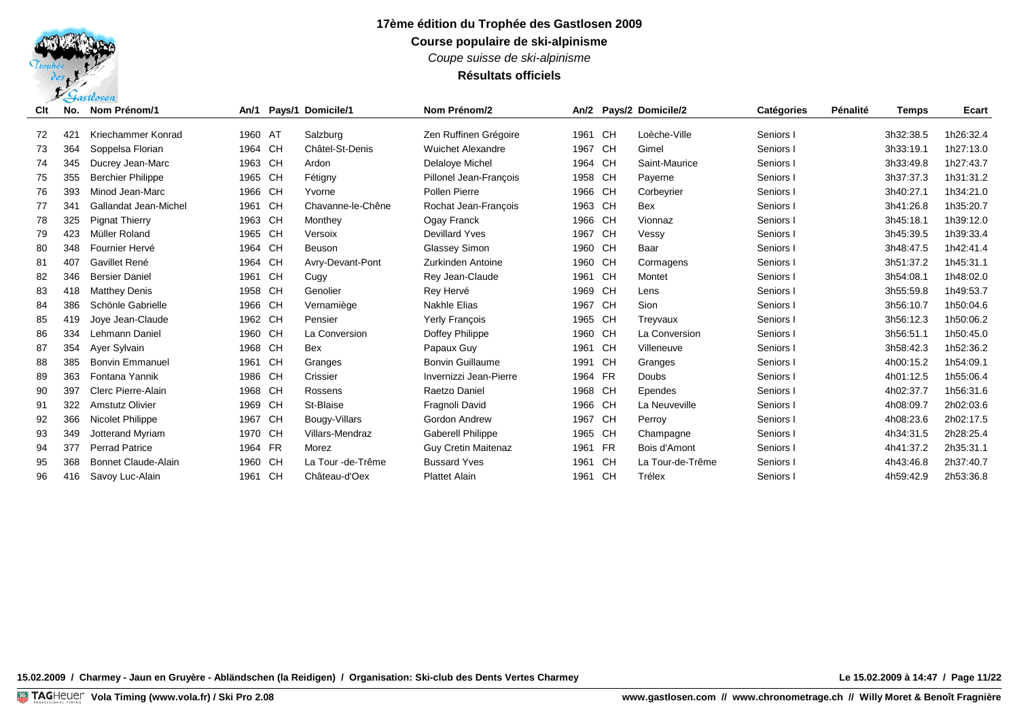*Coupe suisse de ski-alpinisme*

**Résultats officiels**

| Clt | No.             | Nom Prénom/1               | An/1    | Pays/1 Domicile/1 | Nom Prénom/2               | An/2    |           | Pays/2 Domicile/2 | <b>Catégories</b> | Pénalité | <b>Temps</b> | Ecart     |
|-----|-----------------|----------------------------|---------|-------------------|----------------------------|---------|-----------|-------------------|-------------------|----------|--------------|-----------|
| 72  | 42 <sup>2</sup> | Kriechammer Konrad         | 1960 AT | Salzburg          | Zen Ruffinen Grégoire      | 1961 CH |           | Loèche-Ville      | Seniors I         |          | 3h32:38.5    | 1h26:32.4 |
| 73  | 364             | Soppelsa Florian           | 1964 CH | Châtel-St-Denis   | <b>Wuichet Alexandre</b>   | 1967 CH |           | Gimel             | Seniors I         |          | 3h33:19.1    | 1h27:13.0 |
| 74  | 345             | Ducrey Jean-Marc           | 1963 CH | Ardon             | Delaloye Michel            | 1964 CH |           | Saint-Maurice     | Seniors I         |          | 3h33:49.8    | 1h27:43.7 |
| 75  | 355             | <b>Berchier Philippe</b>   | 1965 CH | Fétigny           | Pillonel Jean-Francois     | 1958 CH |           | Payerne           | Seniors I         |          | 3h37:37.3    | 1h31:31.2 |
| 76  | 393             | Minod Jean-Marc            | 1966 CH | Yvorne            | <b>Pollen Pierre</b>       | 1966 CH |           | Corbeyrier        | Seniors I         |          | 3h40:27.1    | 1h34:21.0 |
| 77  | 341             | Gallandat Jean-Michel      | 1961 CH | Chavanne-le-Chêne | Rochat Jean-François       | 1963 CH |           | Bex               | Seniors I         |          | 3h41:26.8    | 1h35:20.7 |
| 78  | 325             | <b>Pignat Thierry</b>      | 1963 CH | Monthey           | Ogay Franck                | 1966 CH |           | Vionnaz           | Seniors I         |          | 3h45:18.1    | 1h39:12.0 |
| 79  | 423             | Müller Roland              | 1965 CH | Versoix           | <b>Devillard Yves</b>      | 1967 CH |           | Vessy             | Seniors I         |          | 3h45:39.5    | 1h39:33.4 |
| 80  | 348             | Fournier Hervé             | 1964 CH | Beuson            | <b>Glassey Simon</b>       | 1960 CH |           | Baar              | Seniors I         |          | 3h48:47.5    | 1h42:41.4 |
| 81  | 407             | Gavillet René              | 1964 CH | Avry-Devant-Pont  | Zurkinden Antoine          | 1960 CH |           | Cormagens         | Seniors I         |          | 3h51:37.2    | 1h45:31.1 |
| 82  | 346             | <b>Bersier Daniel</b>      | 1961 CH | Cugy              | Rey Jean-Claude            | 1961    | CH        | Montet            | Seniors I         |          | 3h54:08.1    | 1h48:02.0 |
| 83  | 418             | <b>Matthey Denis</b>       | 1958 CH | Genolier          | Rey Hervé                  | 1969 CH |           | Lens              | Seniors I         |          | 3h55.59.8    | 1h49:53.7 |
| 84  | 386             | Schönle Gabrielle          | 1966 CH | Vernamiège        | <b>Nakhle Elias</b>        | 1967 CH |           | Sion              | Seniors I         |          | 3h56:10.7    | 1h50:04.6 |
| 85  | 419             | Joye Jean-Claude           | 1962 CH | Pensier           | Yerly François             | 1965 CH |           | Treyvaux          | Seniors I         |          | 3h56:12.3    | 1h50:06.2 |
| 86  | 334             | Lehmann Daniel             | 1960 CH | La Conversion     | Doffey Philippe            | 1960 CH |           | La Conversion     | Seniors I         |          | 3h56:51.1    | 1h50:45.0 |
| 87  | 354             | Ayer Sylvain               | 1968 CH | <b>Bex</b>        | Papaux Guy                 | 1961    | CH        | Villeneuve        | Seniors I         |          | 3h58:42.3    | 1h52:36.2 |
| 88  | 385             | <b>Bonvin Emmanuel</b>     | 1961 CH | Granges           | <b>Bonvin Guillaume</b>    | 1991    | CH.       | Granges           | Seniors I         |          | 4h00:15.2    | 1h54:09.1 |
| 89  | 363             | Fontana Yannik             | 1986 CH | Crissier          | Invernizzi Jean-Pierre     | 1964 FR |           | Doubs             | Seniors I         |          | 4h01:12.5    | 1h55:06.4 |
| 90  | 397             | Clerc Pierre-Alain         | 1968 CH | Rossens           | Raetzo Daniel              | 1968 CH |           | Ependes           | Seniors I         |          | 4h02:37.7    | 1h56:31.6 |
| 91  | 322             | Amstutz Olivier            | 1969 CH | St-Blaise         | Fragnoli David             | 1966 CH |           | La Neuveville     | Seniors I         |          | 4h08:09.7    | 2h02:03.6 |
| 92  | 366             | Nicolet Philippe           | 1967 CH | Bougy-Villars     | Gordon Andrew              | 1967 CH |           | Perroy            | Seniors I         |          | 4h08:23.6    | 2h02:17.5 |
| 93  | 349             | <b>Jotterand Myriam</b>    | 1970 CH | Villars-Mendraz   | Gaberell Philippe          | 1965 CH |           | Champagne         | Seniors I         |          | 4h34:31.5    | 2h28:25.4 |
| 94  | 377             | <b>Perrad Patrice</b>      | 1964 FR | Morez             | <b>Guy Cretin Maitenaz</b> | 1961 FR |           | Bois d'Amont      | Seniors I         |          | 4h41:37.2    | 2h35:31.1 |
| 95  | 368             | <b>Bonnet Claude-Alain</b> | 1960 CH | La Tour -de-Trême | <b>Bussard Yves</b>        | 1961    | <b>CH</b> | La Tour-de-Trême  | Seniors I         |          | 4h43:46.8    | 2h37:40.7 |
| 96  | 416             | Savoy Luc-Alain            | 1961 CH | Château-d'Oex     | <b>Plattet Alain</b>       | 1961 CH |           | Trélex            | Seniors I         |          | 4h59:42.9    | 2h53:36.8 |
|     |                 |                            |         |                   |                            |         |           |                   |                   |          |              |           |

**15.02.2009 / Charmey - Jaun en Gruyère - Abländschen (la Reidigen) / Organisation: Ski-club des Dents Vertes Charmey Le 15.02.2009 à 14:47 / Page 11/22**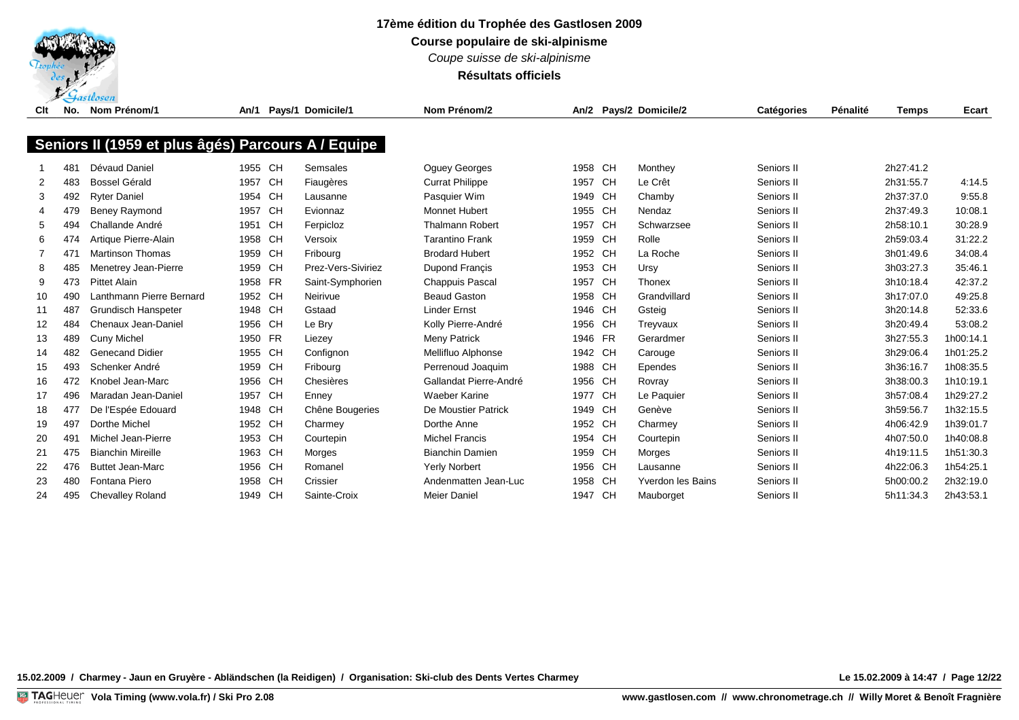

*Coupe suisse de ski-alpinisme*

**Résultats officiels**

| Clt            | No. | Nom Prénom/1                                       | An/1    | Pays/1 Domicile/1  | Nom Prénom/2           |         |    | An/2 Pays/2 Domicile/2   | <b>Catégories</b> | Pénalité | <b>Temps</b> | Ecart     |
|----------------|-----|----------------------------------------------------|---------|--------------------|------------------------|---------|----|--------------------------|-------------------|----------|--------------|-----------|
|                |     |                                                    |         |                    |                        |         |    |                          |                   |          |              |           |
|                |     | Seniors II (1959 et plus âgés) Parcours A / Equipe |         |                    |                        |         |    |                          |                   |          |              |           |
|                |     |                                                    |         |                    |                        |         |    |                          |                   |          |              |           |
|                | 481 | Dévaud Daniel                                      | 1955 CH | Semsales           | <b>Oquey Georges</b>   | 1958 CH |    | Monthey                  | Seniors II        |          | 2h27:41.2    |           |
| $\overline{2}$ | 483 | <b>Bossel Gérald</b>                               | 1957 CH | Fiaugères          | <b>Currat Philippe</b> | 1957    | CH | Le Crêt                  | Seniors II        |          | 2h31:55.7    | 4:14.5    |
| 3              | 492 | <b>Ryter Daniel</b>                                | 1954 CH | Lausanne           | Pasquier Wim           | 1949 CH |    | Chamby                   | Seniors II        |          | 2h37:37.0    | 9:55.8    |
| 4              | 479 | <b>Beney Raymond</b>                               | 1957 CH | Evionnaz           | <b>Monnet Hubert</b>   | 1955 CH |    | Nendaz                   | Seniors II        |          | 2h37:49.3    | 10:08.1   |
| 5              | 494 | Challande André                                    | 1951 CH | Ferpicloz          | <b>Thalmann Robert</b> | 1957    | CH | Schwarzsee               | Seniors II        |          | 2h58:10.1    | 30:28.9   |
| 6              | 474 | Artique Pierre-Alain                               | 1958 CH | Versoix            | <b>Tarantino Frank</b> | 1959 CH |    | Rolle                    | Seniors II        |          | 2h59:03.4    | 31:22.2   |
|                | 471 | <b>Martinson Thomas</b>                            | 1959 CH | Fribourg           | <b>Brodard Hubert</b>  | 1952 CH |    | La Roche                 | Seniors II        |          | 3h01:49.6    | 34:08.4   |
| 8              | 485 | Menetrey Jean-Pierre                               | 1959 CH | Prez-Vers-Siviriez | Dupond Francis         | 1953 CH |    | Ursy                     | Seniors II        |          | 3h03:27.3    | 35:46.1   |
| 9              | 473 | <b>Pittet Alain</b>                                | 1958 FR | Saint-Symphorien   | Chappuis Pascal        | 1957 CH |    | Thonex                   | Seniors II        |          | 3h10:18.4    | 42:37.2   |
| 10             | 490 | Lanthmann Pierre Bernard                           | 1952 CH | Neirivue           | <b>Beaud Gaston</b>    | 1958 CH |    | Grandvillard             | Seniors II        |          | 3h17:07.0    | 49:25.8   |
| 11             | 487 | Grundisch Hanspeter                                | 1948 CH | Gstaad             | <b>Linder Ernst</b>    | 1946 CH |    | Gsteig                   | Seniors II        |          | 3h20:14.8    | 52:33.6   |
| 12             | 484 | Chenaux Jean-Daniel                                | 1956 CH | Le Bry             | Kolly Pierre-André     | 1956 CH |    | Treyvaux                 | Seniors II        |          | 3h20:49.4    | 53:08.2   |
| 13             | 489 | <b>Cuny Michel</b>                                 | 1950 FR | Liezey             | Meny Patrick           | 1946 FR |    | Gerardmer                | Seniors II        |          | 3h27:55.3    | 1h00:14.1 |
| 14             | 482 | <b>Genecand Didier</b>                             | 1955 CH | Confignon          | Mellifluo Alphonse     | 1942 CH |    | Carouge                  | Seniors II        |          | 3h29:06.4    | 1h01:25.2 |
| 15             | 493 | Schenker André                                     | 1959 CH | Fribourg           | Perrenoud Joaquim      | 1988 CH |    | Ependes                  | Seniors II        |          | 3h36:16.7    | 1h08:35.5 |
| 16             | 472 | Knobel Jean-Marc                                   | 1956 CH | Chesières          | Gallandat Pierre-André | 1956 CH |    | Rovray                   | Seniors II        |          | 3h38:00.3    | 1h10:19.1 |
| 17             | 496 | Maradan Jean-Daniel                                | 1957 CH | Enney              | <b>Waeber Karine</b>   | 1977 CH |    | Le Paquier               | Seniors II        |          | 3h57:08.4    | 1h29:27.2 |
| 18             | 477 | De l'Espée Edouard                                 | 1948 CH | Chêne Bougeries    | De Moustier Patrick    | 1949 CH |    | Genève                   | Seniors II        |          | 3h59:56.7    | 1h32:15.5 |
| 19             | 497 | Dorthe Michel                                      | 1952 CH | Charmey            | Dorthe Anne            | 1952 CH |    | Charmey                  | Seniors II        |          | 4h06:42.9    | 1h39:01.7 |
| 20             | 491 | Michel Jean-Pierre                                 | 1953 CH | Courtepin          | <b>Michel Francis</b>  | 1954 CH |    | Courtepin                | Seniors II        |          | 4h07:50.0    | 1h40:08.8 |
| 21             | 475 | <b>Bianchin Mireille</b>                           | 1963 CH | Morges             | <b>Bianchin Damien</b> | 1959 CH |    | Morges                   | Seniors II        |          | 4h19:11.5    | 1h51:30.3 |
| 22             | 476 | <b>Buttet Jean-Marc</b>                            | 1956 CH | Romanel            | Yerly Norbert          | 1956 CH |    | Lausanne                 | Seniors II        |          | 4h22:06.3    | 1h54:25.1 |
| 23             | 480 | Fontana Piero                                      | 1958 CH | Crissier           | Andenmatten Jean-Luc   | 1958 CH |    | <b>Yverdon les Bains</b> | Seniors II        |          | 5h00:00.2    | 2h32:19.0 |
| 24             | 495 | <b>Chevalley Roland</b>                            | 1949 CH | Sainte-Croix       | <b>Meier Daniel</b>    | 1947 CH |    | Mauborget                | Seniors II        |          | 5h11:34.3    | 2h43:53.1 |
|                |     |                                                    |         |                    |                        |         |    |                          |                   |          |              |           |

**15.02.2009 / Charmey - Jaun en Gruyère - Abländschen (la Reidigen) / Organisation: Ski-club des Dents Vertes Charmey Le 15.02.2009 à 14:47 / Page 12/22**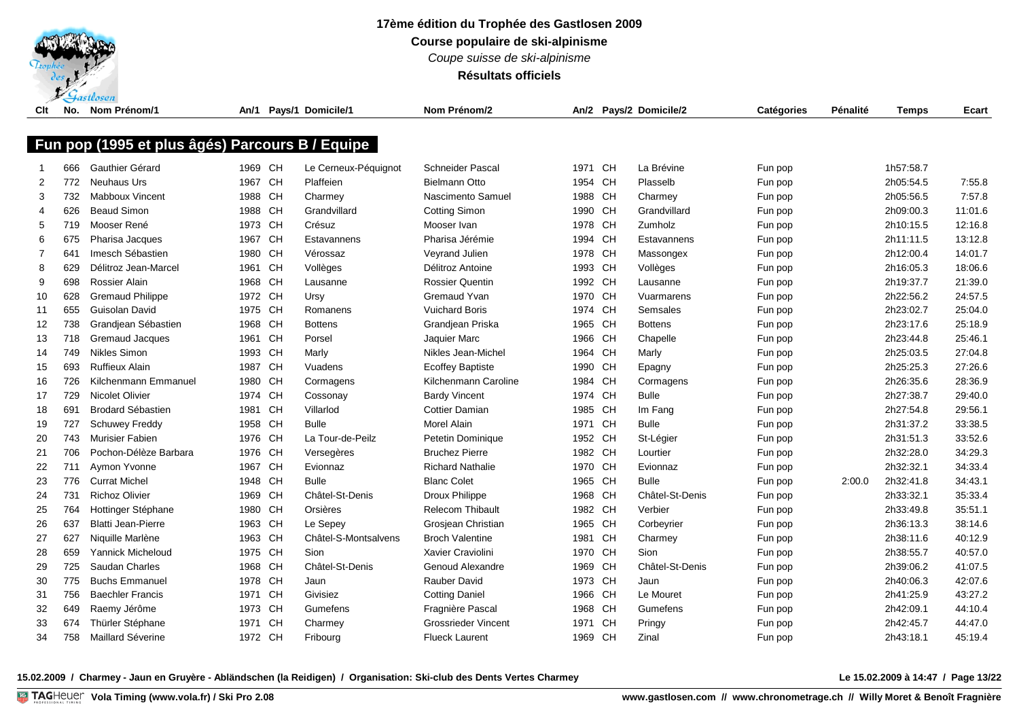

*Coupe suisse de ski-alpinisme*

**Résultats officiels**

| Clt    | No. | Nom Prénom/1                                    |                    |           | An/1 Pays/1 Domicile/1            | Nom Prénom/2                               |                    |           | An/2 Pays/2 Domicile/2  | Catégories | Pénalité | <b>Temps</b>           | Ecart   |
|--------|-----|-------------------------------------------------|--------------------|-----------|-----------------------------------|--------------------------------------------|--------------------|-----------|-------------------------|------------|----------|------------------------|---------|
|        |     |                                                 |                    |           |                                   |                                            |                    |           |                         |            |          |                        |         |
|        |     | Fun pop (1995 et plus âgés) Parcours B / Equipe |                    |           |                                   |                                            |                    |           |                         |            |          |                        |         |
|        | 666 | Gauthier Gérard                                 | 1969 CH            |           |                                   | <b>Schneider Pascal</b>                    | 1971               | CH        | La Brévine              |            |          | 1h57:58.7              |         |
| 2      | 772 | <b>Neuhaus Urs</b>                              | 1967               | <b>CH</b> | Le Cerneux-Péquignot<br>Plaffeien | <b>Bielmann Otto</b>                       | 1954 CH            |           | Plasselb                | Fun pop    |          | 2h05:54.5              | 7:55.8  |
| 3      | 732 | <b>Mabboux Vincent</b>                          | 1988               | CH        |                                   | Nascimento Samuel                          | 1988 CH            |           |                         | Fun pop    |          | 2h05:56.5              | 7:57.8  |
| 4      | 626 | <b>Beaud Simon</b>                              | 1988               | CH        | Charmey<br>Grandvillard           |                                            | 1990 CH            |           | Charmey<br>Grandvillard | Fun pop    |          | 2h09:00.3              | 11:01.6 |
| 5      | 719 | Mooser René                                     | 1973 CH            |           | Crésuz                            | <b>Cotting Simon</b><br>Mooser Ivan        | 1978 CH            |           | Zumholz                 | Fun pop    |          | 2h10:15.5              | 12:16.8 |
|        | 675 |                                                 | 1967               | CH        | Estavannens                       | Pharisa Jérémie                            | 1994 CH            |           | Estavannens             | Fun pop    |          | 2h11:11.5              | 13:12.8 |
| 6<br>7 | 641 | Pharisa Jacques<br>Imesch Sébastien             | 1980 CH            |           |                                   |                                            |                    |           |                         | Fun pop    |          | 2h12:00.4              | 14:01.7 |
|        |     |                                                 |                    |           | Vérossaz                          | Veyrand Julien                             | 1978 CH            |           | Massongex               | Fun pop    |          |                        |         |
| 8      | 629 | Délitroz Jean-Marcel                            | 1961<br>1968 CH    | CH        | Vollèges                          | Délitroz Antoine<br><b>Rossier Quentin</b> | 1993 CH<br>1992 CH |           | Vollèges                | Fun pop    |          | 2h16:05.3<br>2h19:37.7 | 18:06.6 |
| 9      | 698 | Rossier Alain                                   |                    |           | Lausanne                          |                                            |                    |           | Lausanne                | Fun pop    |          |                        | 21:39.0 |
| 10     | 628 | <b>Gremaud Philippe</b>                         | 1972 CH            |           | Ursy                              | Gremaud Yvan                               | 1970 CH            |           | Vuarmarens              | Fun pop    |          | 2h22:56.2              | 24:57.5 |
| 11     | 655 | Guisolan David                                  | 1975 CH            |           | Romanens                          | <b>Vuichard Boris</b>                      | 1974 CH            |           | Semsales                | Fun pop    |          | 2h23:02.7              | 25:04.0 |
| 12     | 738 | Grandjean Sébastien                             | 1968 CH<br>1961 CH |           | <b>Bottens</b>                    | Grandjean Priska                           | 1965 CH            |           | <b>Bottens</b>          | Fun pop    |          | 2h23:17.6              | 25:18.9 |
| 13     | 718 | <b>Gremaud Jacques</b>                          |                    |           | Porsel                            | Jaquier Marc                               | 1966 CH            |           | Chapelle                | Fun pop    |          | 2h23:44.8              | 25:46.1 |
| 14     | 749 | <b>Nikles Simon</b>                             | 1993 CH            |           | Marly                             | Nikles Jean-Michel                         | 1964               | <b>CH</b> | Marly                   | Fun pop    |          | 2h25:03.5              | 27:04.8 |
| 15     | 693 | <b>Ruffieux Alain</b>                           | 1987 CH            |           | Vuadens                           | <b>Ecoffey Baptiste</b>                    | 1990 CH            |           | Epagny                  | Fun pop    |          | 2h25:25.3              | 27:26.6 |
| 16     | 726 | Kilchenmann Emmanuel                            | 1980 CH            |           | Cormagens                         | Kilchenmann Caroline                       | 1984 CH            |           | Cormagens               | Fun pop    |          | 2h26:35.6              | 28:36.9 |
| 17     | 729 | <b>Nicolet Olivier</b>                          | 1974 CH            |           | Cossonay                          | <b>Bardy Vincent</b>                       | 1974 CH            |           | Bulle                   | Fun pop    |          | 2h27:38.7              | 29:40.0 |
| 18     | 691 | <b>Brodard Sébastien</b>                        | 1981 CH            |           | Villarlod                         | <b>Cottier Damian</b>                      | 1985 CH            |           | Im Fang                 | Fun pop    |          | 2h27:54.8              | 29:56.1 |
| 19     | 727 | <b>Schuwey Freddy</b>                           | 1958               | CH        | <b>Bulle</b>                      | <b>Morel Alain</b>                         | 1971 CH            |           | <b>Bulle</b>            | Fun pop    |          | 2h31:37.2              | 33:38.5 |
| 20     | 743 | Murisier Fabien                                 | 1976               | CH        | La Tour-de-Peilz                  | Petetin Dominique                          | 1952 CH            |           | St-Légier               | Fun pop    |          | 2h31:51.3              | 33:52.6 |
| 21     | 706 | Pochon-Délèze Barbara                           | 1976               | CH        | Versegères                        | <b>Bruchez Pierre</b>                      | 1982 CH            |           | Lourtier                | Fun pop    |          | 2h32:28.0              | 34:29.3 |
| 22     | 711 | Aymon Yvonne                                    | 1967               | CH        | Evionnaz                          | <b>Richard Nathalie</b>                    | 1970 CH            |           | Evionnaz                | Fun pop    |          | 2h32:32.1              | 34:33.4 |
| 23     | 776 | <b>Currat Michel</b>                            | 1948               | CH        | <b>Bulle</b>                      | <b>Blanc Colet</b>                         | 1965 CH            |           | <b>Bulle</b>            | Fun pop    | 2:00.0   | 2h32:41.8              | 34:43.1 |
| 24     | 731 | <b>Richoz Olivier</b>                           | 1969 CH            |           | Châtel-St-Denis                   | Droux Philippe                             | 1968 CH            |           | Châtel-St-Denis         | Fun pop    |          | 2h33:32.1              | 35:33.4 |
| 25     | 764 | Hottinger Stéphane                              | 1980 CH            |           | Orsières                          | <b>Relecom Thibault</b>                    | 1982 CH            |           | Verbier                 | Fun pop    |          | 2h33:49.8              | 35:51.1 |
| 26     | 637 | <b>Blatti Jean-Pierre</b>                       | 1963 CH            |           | Le Sepey                          | Grosjean Christian                         | 1965 CH            |           | Corbeyrier              | Fun pop    |          | 2h36:13.3              | 38:14.6 |
| 27     | 627 | Niquille Marlène                                | 1963 CH            |           | Châtel-S-Montsalvens              | <b>Broch Valentine</b>                     | 1981 CH            |           | Charmey                 | Fun pop    |          | 2h38:11.6              | 40:12.9 |
| 28     | 659 | Yannick Micheloud                               | 1975 CH            |           | Sion                              | Xavier Craviolini                          | 1970 CH            |           | Sion                    | Fun pop    |          | 2h38:55.7              | 40:57.0 |
| 29     | 725 | Saudan Charles                                  | 1968 CH            |           | Châtel-St-Denis                   | Genoud Alexandre                           | 1969 CH            |           | Châtel-St-Denis         | Fun pop    |          | 2h39:06.2              | 41:07.5 |
| 30     | 775 | <b>Buchs Emmanuel</b>                           | 1978 CH            |           | Jaun                              | <b>Rauber David</b>                        | 1973 CH            |           | Jaun                    | Fun pop    |          | 2h40:06.3              | 42:07.6 |
| 31     | 756 | <b>Baechler Francis</b>                         | 1971               | CH        | Givisiez                          | <b>Cotting Daniel</b>                      | 1966 CH            |           | Le Mouret               | Fun pop    |          | 2h41:25.9              | 43:27.2 |
| 32     | 649 | Raemy Jérôme                                    | 1973 CH            |           | Gumefens                          | Fragnière Pascal                           | 1968 CH            |           | Gumefens                | Fun pop    |          | 2h42:09.1              | 44:10.4 |
| 33     | 674 | Thürler Stéphane                                | 1971               | CH        | Charmey                           | <b>Grossrieder Vincent</b>                 | 1971               | <b>CH</b> | Pringy                  | Fun pop    |          | 2h42:45.7              | 44:47.0 |
| 34     | 758 | Maillard Séverine                               | 1972 CH            |           | Fribourg                          | <b>Flueck Laurent</b>                      | 1969 CH            |           | Zinal                   | Fun pop    |          | 2h43:18.1              | 45:19.4 |

**15.02.2009 / Charmey - Jaun en Gruyère - Abländschen (la Reidigen) / Organisation: Ski-club des Dents Vertes Charmey Le 15.02.2009 à 14:47 / Page 13/22**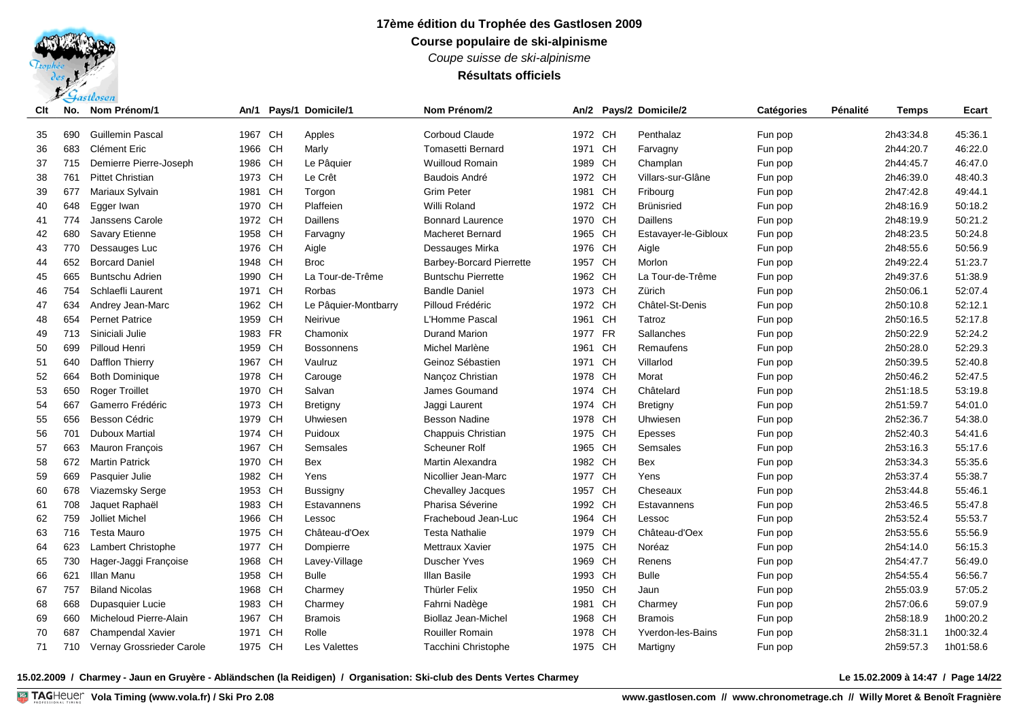*Coupe suisse de ski-alpinisme*

## **Résultats officiels**

| Clt | No. | Nom Prénom/1              | An/1    |           | Pays/1 Domicile/1    | Nom Prénom/2                    |         |    | An/2 Pays/2 Domicile/2   | <b>Catégories</b> | Pénalité | <b>Temps</b> | Ecart     |
|-----|-----|---------------------------|---------|-----------|----------------------|---------------------------------|---------|----|--------------------------|-------------------|----------|--------------|-----------|
| 35  | 690 | <b>Guillemin Pascal</b>   | 1967    | <b>CH</b> | Apples               | <b>Corboud Claude</b>           | 1972 CH |    | Penthalaz                | Fun pop           |          | 2h43:34.8    | 45:36.1   |
| 36  | 683 | Clément Eric              | 1966 CH |           | Marly                | <b>Tomasetti Bernard</b>        | 1971 CH |    | Farvagny                 | Fun pop           |          | 2h44:20.7    | 46:22.0   |
| 37  | 715 | Demierre Pierre-Joseph    | 1986 CH |           | Le Pâquier           | <b>Wuilloud Romain</b>          | 1989 CH |    | Champlan                 | Fun pop           |          | 2h44:45.7    | 46:47.0   |
| 38  | 761 | <b>Pittet Christian</b>   | 1973 CH |           | Le Crêt              | Baudois André                   | 1972 CH |    | Villars-sur-Glâne        | Fun pop           |          | 2h46:39.0    | 48:40.3   |
| 39  | 677 | Mariaux Sylvain           | 1981    | CH        | Torgon               | <b>Grim Peter</b>               | 1981    | CH | Fribourg                 | Fun pop           |          | 2h47:42.8    | 49:44.1   |
| 40  | 648 | Egger Iwan                | 1970 CH |           | Plaffeien            | Willi Roland                    | 1972 CH |    | <b>Brünisried</b>        | Fun pop           |          | 2h48:16.9    | 50:18.2   |
| 41  | 774 | Janssens Carole           | 1972 CH |           | Daillens             | <b>Bonnard Laurence</b>         | 1970 CH |    | Daillens                 | Fun pop           |          | 2h48:19.9    | 50:21.2   |
| 42  | 680 | Savary Etienne            | 1958 CH |           | Farvagny             | <b>Macheret Bernard</b>         | 1965 CH |    | Estavayer-le-Gibloux     | Fun pop           |          | 2h48:23.5    | 50:24.8   |
| 43  | 770 | Dessauges Luc             | 1976 CH |           | Aigle                | Dessauges Mirka                 | 1976 CH |    | Aigle                    | Fun pop           |          | 2h48:55.6    | 50:56.9   |
| 44  | 652 | <b>Borcard Daniel</b>     | 1948 CH |           | <b>Broc</b>          | <b>Barbey-Borcard Pierrette</b> | 1957 CH |    | Morlon                   | Fun pop           |          | 2h49:22.4    | 51:23.7   |
| 45  | 665 | <b>Buntschu Adrien</b>    | 1990 CH |           | La Tour-de-Trême     | <b>Buntschu Pierrette</b>       | 1962 CH |    | La Tour-de-Trême         | Fun pop           |          | 2h49:37.6    | 51:38.9   |
| 46  | 754 | Schlaefli Laurent         | 1971 CH |           | Rorbas               | <b>Bandle Daniel</b>            | 1973 CH |    | Zürich                   | Fun pop           |          | 2h50:06.1    | 52:07.4   |
| 47  | 634 | Andrey Jean-Marc          | 1962 CH |           | Le Pâquier-Montbarry | Pilloud Frédéric                | 1972 CH |    | Châtel-St-Denis          | Fun pop           |          | 2h50:10.8    | 52:12.1   |
| 48  | 654 | <b>Pernet Patrice</b>     | 1959 CH |           | Neirivue             | L'Homme Pascal                  | 1961 CH |    | Tatroz                   | Fun pop           |          | 2h50:16.5    | 52:17.8   |
| 49  | 713 | Siniciali Julie           | 1983 FR |           | Chamonix             | <b>Durand Marion</b>            | 1977 FR |    | Sallanches               | Fun pop           |          | 2h50:22.9    | 52:24.2   |
| 50  | 699 | Pilloud Henri             | 1959 CH |           | <b>Bossonnens</b>    | Michel Marlène                  | 1961 CH |    | Remaufens                | Fun pop           |          | 2h50:28.0    | 52:29.3   |
| 51  | 640 | Dafflon Thierry           | 1967 CH |           | Vaulruz              | Geinoz Sébastien                | 1971    | CH | Villarlod                | Fun pop           |          | 2h50:39.5    | 52:40.8   |
| 52  | 664 | <b>Both Dominique</b>     | 1978 CH |           | Carouge              | Nançoz Christian                | 1978 CH |    | Morat                    | Fun pop           |          | 2h50:46.2    | 52:47.5   |
| 53  | 650 | <b>Roger Troillet</b>     | 1970 CH |           | Salvan               | James Goumand                   | 1974 CH |    | Châtelard                | Fun pop           |          | 2h51:18.5    | 53:19.8   |
| 54  | 667 | Gamerro Frédéric          | 1973 CH |           | Bretigny             | Jaggi Laurent                   | 1974 CH |    | Bretigny                 | Fun pop           |          | 2h51:59.7    | 54:01.0   |
| 55  | 656 | Besson Cédric             | 1979 CH |           | Uhwiesen             | <b>Besson Nadine</b>            | 1978 CH |    | Uhwiesen                 | Fun pop           |          | 2h52:36.7    | 54:38.0   |
| 56  | 701 | <b>Duboux Martial</b>     | 1974    | <b>CH</b> | Puidoux              | Chappuis Christian              | 1975 CH |    | Epesses                  | Fun pop           |          | 2h52:40.3    | 54:41.6   |
| 57  | 663 | Mauron François           | 1967    | <b>CH</b> | Semsales             | Scheuner Rolf                   | 1965 CH |    | Semsales                 | Fun pop           |          | 2h53:16.3    | 55:17.6   |
| 58  | 672 | <b>Martin Patrick</b>     | 1970    | <b>CH</b> | <b>Bex</b>           | Martin Alexandra                | 1982 CH |    | <b>Bex</b>               | Fun pop           |          | 2h53:34.3    | 55:35.6   |
| 59  | 669 | Pasquier Julie            | 1982 CH |           | Yens                 | Nicollier Jean-Marc             | 1977 CH |    | Yens                     | Fun pop           |          | 2h53:37.4    | 55:38.7   |
| 60  | 678 | Viazemsky Serge           | 1953 CH |           | <b>Bussigny</b>      | <b>Chevalley Jacques</b>        | 1957 CH |    | Cheseaux                 | Fun pop           |          | 2h53:44.8    | 55:46.1   |
| 61  | 708 | Jaquet Raphaël            | 1983 CH |           | Estavannens          | Pharisa Séverine                | 1992 CH |    | Estavannens              | Fun pop           |          | 2h53:46.5    | 55:47.8   |
| 62  | 759 | Jolliet Michel            | 1966 CH |           | Lessoc               | Fracheboud Jean-Luc             | 1964 CH |    | Lessoc                   | Fun pop           |          | 2h53:52.4    | 55:53.7   |
| 63  | 716 | <b>Testa Mauro</b>        | 1975 CH |           | Château-d'Oex        | Testa Nathalie                  | 1979 CH |    | Château-d'Oex            | Fun pop           |          | 2h53:55.6    | 55:56.9   |
| 64  | 623 | Lambert Christophe        | 1977 CH |           | Dompierre            | Mettraux Xavier                 | 1975 CH |    | Noréaz                   | Fun pop           |          | 2h54:14.0    | 56:15.3   |
| 65  | 730 | Hager-Jaggi Françoise     | 1968 CH |           | Lavey-Village        | <b>Duscher Yves</b>             | 1969 CH |    | Renens                   | Fun pop           |          | 2h54:47.7    | 56:49.0   |
| 66  | 621 | <b>Illan Manu</b>         | 1958 CH |           | <b>Bulle</b>         | Illan Basile                    | 1993 CH |    | <b>Bulle</b>             | Fun pop           |          | 2h54:55.4    | 56:56.7   |
| 67  | 757 | <b>Biland Nicolas</b>     | 1968    | <b>CH</b> | Charmey              | <b>Thürler Felix</b>            | 1950 CH |    | Jaun                     | Fun pop           |          | 2h55:03.9    | 57:05.2   |
| 68  | 668 | Dupasquier Lucie          | 1983    | CH        | Charmey              | Fahrni Nadège                   | 1981    | CH | Charmey                  | Fun pop           |          | 2h57:06.6    | 59:07.9   |
| 69  | 660 | Micheloud Pierre-Alain    | 1967    | <b>CH</b> | <b>Bramois</b>       | <b>Biollaz Jean-Michel</b>      | 1968 CH |    | <b>Bramois</b>           | Fun pop           |          | 2h58:18.9    | 1h00:20.2 |
| 70  | 687 | Champendal Xavier         | 1971    | <b>CH</b> | Rolle                | <b>Rouiller Romain</b>          | 1978 CH |    | <b>Yverdon-les-Bains</b> | Fun pop           |          | 2h58:31.1    | 1h00:32.4 |
| 71  | 710 | Vernay Grossrieder Carole | 1975 CH |           | <b>Les Valettes</b>  | Tacchini Christophe             | 1975 CH |    | Martigny                 | Fun pop           |          | 2h59:57.3    | 1h01:58.6 |

**15.02.2009 / Charmey - Jaun en Gruyère - Abländschen (la Reidigen) / Organisation: Ski-club des Dents Vertes Charmey Le 15.02.2009 à 14:47 / Page 14/22**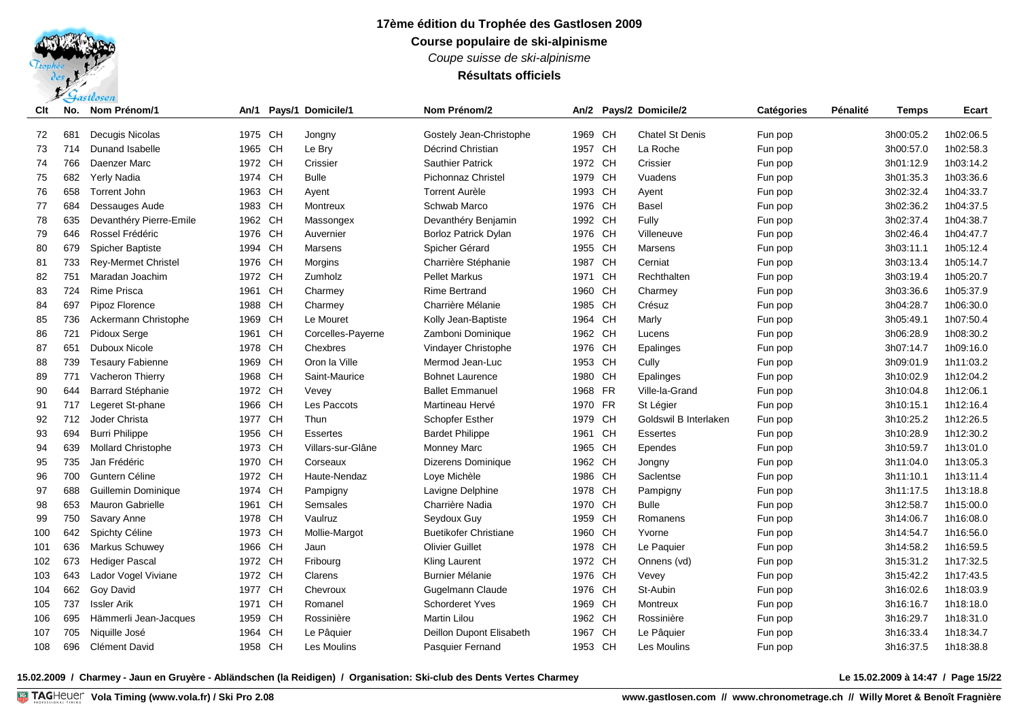*Coupe suisse de ski-alpinisme*

**Résultats officiels**

| Clt | No. | Nom Prénom/1               | An/1    | Pays/1 Domicile/1 | Nom Prénom/2                 |         |    | An/2 Pays/2 Domicile/2 | Catégories | Pénalité | Temps     | Ecart     |
|-----|-----|----------------------------|---------|-------------------|------------------------------|---------|----|------------------------|------------|----------|-----------|-----------|
| 72  | 681 | Decugis Nicolas            | 1975 CH | Jongny            | Gostely Jean-Christophe      | 1969 CH |    | <b>Chatel St Denis</b> | Fun pop    |          | 3h00:05.2 | 1h02:06.5 |
| 73  | 714 | Dunand Isabelle            | 1965 CH | Le Bry            | Décrind Christian            | 1957 CH |    | La Roche               | Fun pop    |          | 3h00:57.0 | 1h02:58.3 |
| 74  | 766 | Daenzer Marc               | 1972 CH | Crissier          | <b>Sauthier Patrick</b>      | 1972 CH |    | Crissier               | Fun pop    |          | 3h01:12.9 | 1h03:14.2 |
| 75  | 682 | Yerly Nadia                | 1974 CH | <b>Bulle</b>      | <b>Pichonnaz Christel</b>    | 1979 CH |    | Vuadens                | Fun pop    |          | 3h01:35.3 | 1h03:36.6 |
| 76  | 658 | Torrent John               | 1963 CH | Ayent             | <b>Torrent Aurèle</b>        | 1993 CH |    | Ayent                  | Fun pop    |          | 3h02:32.4 | 1h04:33.7 |
| 77  | 684 | Dessauges Aude             | 1983 CH | Montreux          | Schwab Marco                 | 1976 CH |    | Basel                  | Fun pop    |          | 3h02:36.2 | 1h04:37.5 |
| 78  | 635 | Devanthéry Pierre-Emile    | 1962 CH | Massongex         | Devanthéry Benjamin          | 1992 CH |    | Fully                  | Fun pop    |          | 3h02:37.4 | 1h04:38.7 |
| 79  | 646 | Rossel Frédéric            | 1976 CH | Auvernier         | <b>Borloz Patrick Dylan</b>  | 1976 CH |    | Villeneuve             | Fun pop    |          | 3h02:46.4 | 1h04:47.7 |
| 80  | 679 | Spicher Baptiste           | 1994 CH | Marsens           | Spicher Gérard               | 1955 CH |    | Marsens                | Fun pop    |          | 3h03:11.1 | 1h05:12.4 |
| 81  | 733 | <b>Rev-Mermet Christel</b> | 1976 CH | Morgins           | Charrière Stéphanie          | 1987 CH |    | Cerniat                | Fun pop    |          | 3h03:13.4 | 1h05:14.7 |
| 82  | 751 | Maradan Joachim            | 1972 CH | Zumholz           | <b>Pellet Markus</b>         | 1971 CH |    | Rechthalten            | Fun pop    |          | 3h03:19.4 | 1h05:20.7 |
| 83  | 724 | <b>Rime Prisca</b>         | 1961 CH | Charmey           | <b>Rime Bertrand</b>         | 1960 CH |    | Charmey                | Fun pop    |          | 3h03:36.6 | 1h05:37.9 |
| 84  | 697 | Pipoz Florence             | 1988 CH | Charmey           | Charrière Mélanie            | 1985 CH |    | Crésuz                 | Fun pop    |          | 3h04:28.7 | 1h06:30.0 |
| 85  | 736 | Ackermann Christophe       | 1969 CH | Le Mouret         | Kolly Jean-Baptiste          | 1964 CH |    | Marly                  | Fun pop    |          | 3h05:49.1 | 1h07:50.4 |
| 86  | 721 | Pidoux Serge               | 1961 CH | Corcelles-Payerne | Zamboni Dominique            | 1962 CH |    | Lucens                 | Fun pop    |          | 3h06:28.9 | 1h08:30.2 |
| 87  | 651 | Duboux Nicole              | 1978 CH | Chexbres          | Vindayer Christophe          | 1976 CH |    | Epalinges              | Fun pop    |          | 3h07:14.7 | 1h09:16.0 |
| 88  | 739 | <b>Tesaury Fabienne</b>    | 1969 CH | Oron la Ville     | Mermod Jean-Luc              | 1953 CH |    | Cully                  | Fun pop    |          | 3h09:01.9 | 1h11:03.2 |
| 89  | 771 | <b>Vacheron Thierry</b>    | 1968 CH | Saint-Maurice     | <b>Bohnet Laurence</b>       | 1980 CH |    | Epalinges              | Fun pop    |          | 3h10:02.9 | 1h12:04.2 |
| 90  | 644 | Barrard Stéphanie          | 1972 CH | Vevey             | <b>Ballet Emmanuel</b>       | 1968 FR |    | Ville-la-Grand         | Fun pop    |          | 3h10:04.8 | 1h12:06.1 |
| 91  | 717 | Legeret St-phane           | 1966 CH | Les Paccots       | Martineau Hervé              | 1970 FR |    | St Légier              | Fun pop    |          | 3h10:15.1 | 1h12:16.4 |
| 92  | 712 | Joder Christa              | 1977 CH | Thun              | <b>Schopfer Esther</b>       | 1979    | CH | Goldswil B Interlaken  | Fun pop    |          | 3h10:25.2 | 1h12:26.5 |
| 93  | 694 | <b>Burri Philippe</b>      | 1956 CH | <b>Essertes</b>   | <b>Bardet Philippe</b>       | 1961    | CH | <b>Essertes</b>        | Fun pop    |          | 3h10:28.9 | 1h12:30.2 |
| 94  | 639 | Mollard Christophe         | 1973 CH | Villars-sur-Glâne | <b>Monney Marc</b>           | 1965 CH |    | Ependes                | Fun pop    |          | 3h10:59.7 | 1h13:01.0 |
| 95  | 735 | Jan Frédéric               | 1970 CH | Corseaux          | <b>Dizerens Dominique</b>    | 1962 CH |    | Jongny                 | Fun pop    |          | 3h11:04.0 | 1h13:05.3 |
| 96  | 700 | Guntern Céline             | 1972 CH | Haute-Nendaz      | Loye Michèle                 | 1986 CH |    | Saclentse              | Fun pop    |          | 3h11:10.1 | 1h13:11.4 |
| 97  | 688 | Guillemin Dominique        | 1974 CH | Pampigny          | Lavigne Delphine             | 1978 CH |    | Pampigny               | Fun pop    |          | 3h11:17.5 | 1h13:18.8 |
| 98  | 653 | Mauron Gabrielle           | 1961 CH | Semsales          | Charrière Nadia              | 1970 CH |    | <b>Bulle</b>           | Fun pop    |          | 3h12:58.7 | 1h15:00.0 |
| 99  | 750 | Savary Anne                | 1978 CH | Vaulruz           | Seydoux Guy                  | 1959 CH |    | Romanens               | Fun pop    |          | 3h14:06.7 | 1h16:08.0 |
| 100 | 642 | Spichty Céline             | 1973 CH | Mollie-Margot     | <b>Buetikofer Christiane</b> | 1960 CH |    | Yvorne                 | Fun pop    |          | 3h14:54.7 | 1h16:56.0 |
| 101 | 636 | Markus Schuwey             | 1966 CH | Jaun              | <b>Olivier Guillet</b>       | 1978 CH |    | Le Paquier             | Fun pop    |          | 3h14:58.2 | 1h16:59.5 |
| 102 | 673 | <b>Hediger Pascal</b>      | 1972 CH | Fribourg          | <b>Kling Laurent</b>         | 1972 CH |    | Onnens (vd)            | Fun pop    |          | 3h15:31.2 | 1h17:32.5 |
| 103 | 643 | Lador Vogel Viviane        | 1972 CH | Clarens           | <b>Burnier Mélanie</b>       | 1976 CH |    | Vevey                  | Fun pop    |          | 3h15:42.2 | 1h17:43.5 |
| 104 | 662 | Goy David                  | 1977 CH | Chevroux          | Gugelmann Claude             | 1976 CH |    | St-Aubin               | Fun pop    |          | 3h16:02.6 | 1h18:03.9 |
| 105 | 737 | <b>Issler Arik</b>         | 1971 CH | Romanel           | <b>Schorderet Yves</b>       | 1969 CH |    | Montreux               | Fun pop    |          | 3h16:16.7 | 1h18:18.0 |
| 106 | 695 | Hämmerli Jean-Jacques      | 1959 CH | Rossinière        | <b>Martin Lilou</b>          | 1962 CH |    | Rossinière             | Fun pop    |          | 3h16:29.7 | 1h18:31.0 |
| 107 | 705 | Niquille José              | 1964 CH | Le Pâquier        | Deillon Dupont Elisabeth     | 1967 CH |    | Le Pâquier             | Fun pop    |          | 3h16:33.4 | 1h18:34.7 |
| 108 | 696 | <b>Clément David</b>       | 1958 CH | Les Moulins       | Pasquier Fernand             | 1953 CH |    | Les Moulins            | Fun pop    |          | 3h16:37.5 | 1h18:38.8 |

**15.02.2009 / Charmey - Jaun en Gruyère - Abländschen (la Reidigen) / Organisation: Ski-club des Dents Vertes Charmey Le 15.02.2009 à 14:47 / Page 15/22**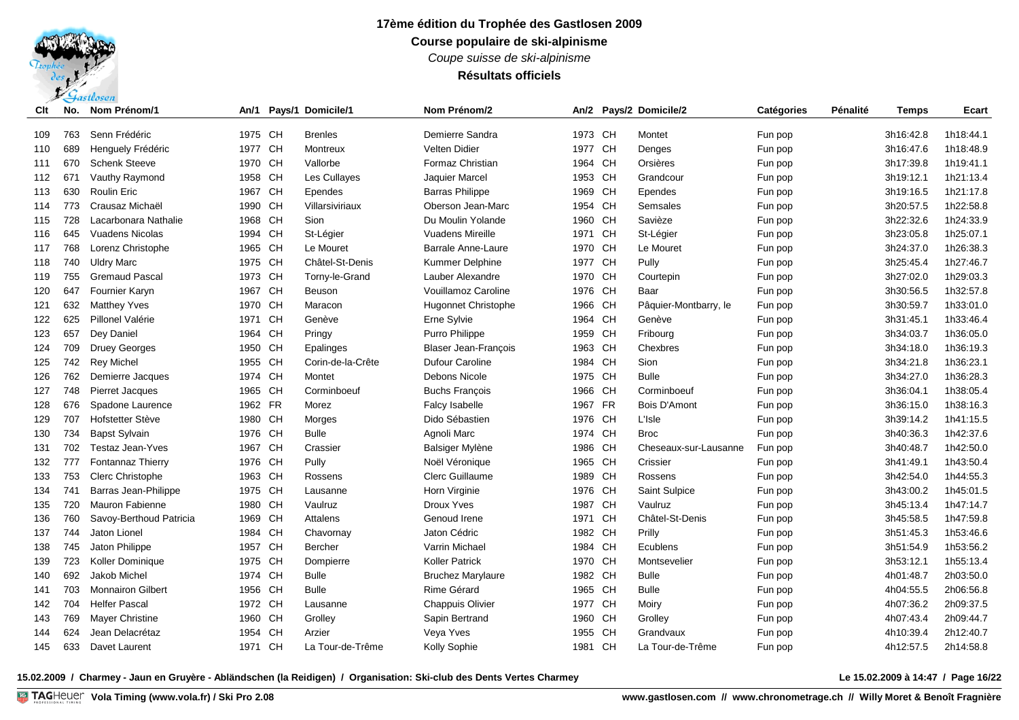*Coupe suisse de ski-alpinisme*

### **Résultats officiels**

| Clt | No. | Nom Prénom/1             | An/1    |           | Pays/1 Domicile/1 | Nom Prénom/2                |         |           | An/2 Pays/2 Domicile/2 | Catégories | Pénalité | <b>Temps</b> | Ecart     |
|-----|-----|--------------------------|---------|-----------|-------------------|-----------------------------|---------|-----------|------------------------|------------|----------|--------------|-----------|
| 109 | 763 | Senn Frédéric            | 1975 CH |           | <b>Brenles</b>    | Demierre Sandra             | 1973 CH |           | Montet                 | Fun pop    |          | 3h16:42.8    | 1h18:44.1 |
| 110 | 689 | Henguely Frédéric        | 1977    | <b>CH</b> | Montreux          | <b>Velten Didier</b>        | 1977 CH |           | Denges                 | Fun pop    |          | 3h16:47.6    | 1h18:48.9 |
| 111 | 670 | <b>Schenk Steeve</b>     | 1970    | CH        | Vallorbe          | Formaz Christian            | 1964    | <b>CH</b> | Orsières               | Fun pop    |          | 3h17:39.8    | 1h19:41.1 |
| 112 | 671 | Vauthy Raymond           | 1958    | <b>CH</b> | Les Cullayes      | Jaquier Marcel              | 1953    | <b>CH</b> | Grandcour              | Fun pop    |          | 3h19:12.1    | 1h21:13.4 |
| 113 | 630 | <b>Roulin Eric</b>       | 1967    | <b>CH</b> | Ependes           | <b>Barras Philippe</b>      | 1969    | <b>CH</b> | Ependes                | Fun pop    |          | 3h19:16.5    | 1h21:17.8 |
| 114 | 773 | Crausaz Michaël          | 1990    | CH        | Villarsiviriaux   | Oberson Jean-Marc           | 1954    | <b>CH</b> | Semsales               | Fun pop    |          | 3h20:57.5    | 1h22:58.8 |
| 115 | 728 | Lacarbonara Nathalie     | 1968    | <b>CH</b> | Sion              | Du Moulin Yolande           | 1960    | <b>CH</b> | Savièze                | Fun pop    |          | 3h22:32.6    | 1h24:33.9 |
| 116 | 645 | <b>Vuadens Nicolas</b>   | 1994    | CH        | St-Légier         | <b>Vuadens Mireille</b>     | 1971    | <b>CH</b> | St-Légier              | Fun pop    |          | 3h23:05.8    | 1h25:07.1 |
| 117 | 768 | Lorenz Christophe        | 1965    | <b>CH</b> | Le Mouret         | Barrale Anne-Laure          | 1970 CH |           | Le Mouret              | Fun pop    |          | 3h24:37.0    | 1h26:38.3 |
| 118 | 740 | <b>Uldry Marc</b>        | 1975    | <b>CH</b> | Châtel-St-Denis   | <b>Kummer Delphine</b>      | 1977 CH |           | Pully                  | Fun pop    |          | 3h25:45.4    | 1h27:46.7 |
| 119 | 755 | <b>Gremaud Pascal</b>    | 1973    | CH        | Torny-le-Grand    | Lauber Alexandre            | 1970 CH |           | Courtepin              | Fun pop    |          | 3h27:02.0    | 1h29:03.3 |
| 120 | 647 | Fournier Karyn           | 1967    | <b>CH</b> | <b>Beuson</b>     | Vouillamoz Caroline         | 1976 CH |           | Baar                   | Fun pop    |          | 3h30:56.5    | 1h32:57.8 |
| 121 | 632 | <b>Matthey Yves</b>      | 1970 CH |           | Maracon           | <b>Hugonnet Christophe</b>  | 1966 CH |           | Pâquier-Montbarry, le  | Fun pop    |          | 3h30:59.7    | 1h33:01.0 |
| 122 | 625 | Pillonel Valérie         | 1971 CH |           | Genève            | Erne Sylvie                 | 1964 CH |           | Genève                 | Fun pop    |          | 3h31:45.1    | 1h33:46.4 |
| 123 | 657 | Dey Daniel               | 1964    | <b>CH</b> | Pringy            | Purro Philippe              | 1959    | <b>CH</b> | Fribourg               | Fun pop    |          | 3h34:03.7    | 1h36:05.0 |
| 124 | 709 | <b>Druey Georges</b>     | 1950    | <b>CH</b> | Epalinges         | <b>Blaser Jean-François</b> | 1963    | <b>CH</b> | Chexbres               | Fun pop    |          | 3h34:18.0    | 1h36:19.3 |
| 125 | 742 | <b>Rey Michel</b>        | 1955    | CH        | Corin-de-la-Crête | Dufour Caroline             | 1984    | <b>CH</b> | Sion                   | Fun pop    |          | 3h34:21.8    | 1h36:23.1 |
| 126 | 762 | Demierre Jacques         | 1974    | <b>CH</b> | Montet            | Debons Nicole               | 1975 CH |           | <b>Bulle</b>           | Fun pop    |          | 3h34:27.0    | 1h36:28.3 |
| 127 | 748 | Pierret Jacques          | 1965    | <b>CH</b> | Corminboeuf       | <b>Buchs Francois</b>       | 1966    | CH        | Corminboeuf            | Fun pop    |          | 3h36:04.1    | 1h38:05.4 |
| 128 | 676 | Spadone Laurence         | 1962 FR |           | Morez             | <b>Falcy Isabelle</b>       | 1967 FR |           | Bois D'Amont           | Fun pop    |          | 3h36:15.0    | 1h38:16.3 |
| 129 | 707 | Hofstetter Stève         | 1980    | <b>CH</b> | Morges            | Dido Sébastien              | 1976    | <b>CH</b> | L'Isle                 | Fun pop    |          | 3h39:14.2    | 1h41:15.5 |
| 130 | 734 | <b>Bapst Sylvain</b>     | 1976    | <b>CH</b> | <b>Bulle</b>      | Agnoli Marc                 | 1974    | <b>CH</b> | <b>Broc</b>            | Fun pop    |          | 3h40:36.3    | 1h42:37.6 |
| 131 | 702 | <b>Testaz Jean-Yves</b>  | 1967    | CH        | Crassier          | Balsiger Mylène             | 1986    | <b>CH</b> | Cheseaux-sur-Lausanne  | Fun pop    |          | 3h40:48.7    | 1h42:50.0 |
| 132 | 777 | Fontannaz Thierry        | 1976    | CH        | Pully             | Noël Véronique              | 1965    | <b>CH</b> | Crissier               | Fun pop    |          | 3h41:49.1    | 1h43:50.4 |
| 133 | 753 | Clerc Christophe         | 1963    | CH        | Rossens           | Clerc Guillaume             | 1989    | <b>CH</b> | Rossens                | Fun pop    |          | 3h42:54.0    | 1h44:55.3 |
| 134 | 741 | Barras Jean-Philippe     | 1975 CH |           | Lausanne          | Horn Virginie               | 1976 CH |           | Saint Sulpice          | Fun pop    |          | 3h43:00.2    | 1h45:01.5 |
| 135 | 720 | <b>Mauron Fabienne</b>   | 1980    | CH        | Vaulruz           | <b>Droux Yves</b>           | 1987    | <b>CH</b> | Vaulruz                | Fun pop    |          | 3h45:13.4    | 1h47:14.7 |
| 136 | 760 | Savoy-Berthoud Patricia  | 1969 CH |           | Attalens          | Genoud Irene                | 1971    | <b>CH</b> | Châtel-St-Denis        | Fun pop    |          | 3h45:58.5    | 1h47:59.8 |
| 137 | 744 | Jaton Lionel             | 1984    | CH        | Chavornay         | Jaton Cédric                | 1982    | CH        | Prilly                 | Fun pop    |          | 3h51:45.3    | 1h53:46.6 |
| 138 | 745 | Jaton Philippe           | 1957    | <b>CH</b> | <b>Bercher</b>    | Varrin Michael              | 1984    | <b>CH</b> | Ecublens               | Fun pop    |          | 3h51:54.9    | 1h53:56.2 |
| 139 | 723 | Koller Dominique         | 1975    | CH        | Dompierre         | <b>Koller Patrick</b>       | 1970    | <b>CH</b> | Montsevelier           | Fun pop    |          | 3h53:12.1    | 1h55:13.4 |
| 140 | 692 | Jakob Michel             | 1974    | <b>CH</b> | <b>Bulle</b>      | <b>Bruchez Marylaure</b>    | 1982    | <b>CH</b> | <b>Bulle</b>           | Fun pop    |          | 4h01:48.7    | 2h03:50.0 |
| 141 | 703 | <b>Monnairon Gilbert</b> | 1956    | <b>CH</b> | <b>Bulle</b>      | Rime Gérard                 | 1965    | <b>CH</b> | <b>Bulle</b>           | Fun pop    |          | 4h04:55.5    | 2h06:56.8 |
| 142 | 704 | <b>Helfer Pascal</b>     | 1972 CH |           | Lausanne          | <b>Chappuis Olivier</b>     | 1977    | <b>CH</b> | Moiry                  | Fun pop    |          | 4h07:36.2    | 2h09:37.5 |
| 143 | 769 | <b>Mayer Christine</b>   | 1960    | <b>CH</b> | Grolley           | Sapin Bertrand              | 1960    | <b>CH</b> | Grolley                | Fun pop    |          | 4h07:43.4    | 2h09:44.7 |
| 144 | 624 | Jean Delacrétaz          | 1954    | <b>CH</b> | Arzier            | Veya Yves                   | 1955    | <b>CH</b> | Grandvaux              | Fun pop    |          | 4h10:39.4    | 2h12:40.7 |
| 145 | 633 | Davet Laurent            | 1971 CH |           | La Tour-de-Trême  | Kolly Sophie                | 1981    | <b>CH</b> | La Tour-de-Trême       | Fun pop    |          | 4h12:57.5    | 2h14:58.8 |

**15.02.2009 / Charmey - Jaun en Gruyère - Abländschen (la Reidigen) / Organisation: Ski-club des Dents Vertes Charmey Le 15.02.2009 à 14:47 / Page 16/22**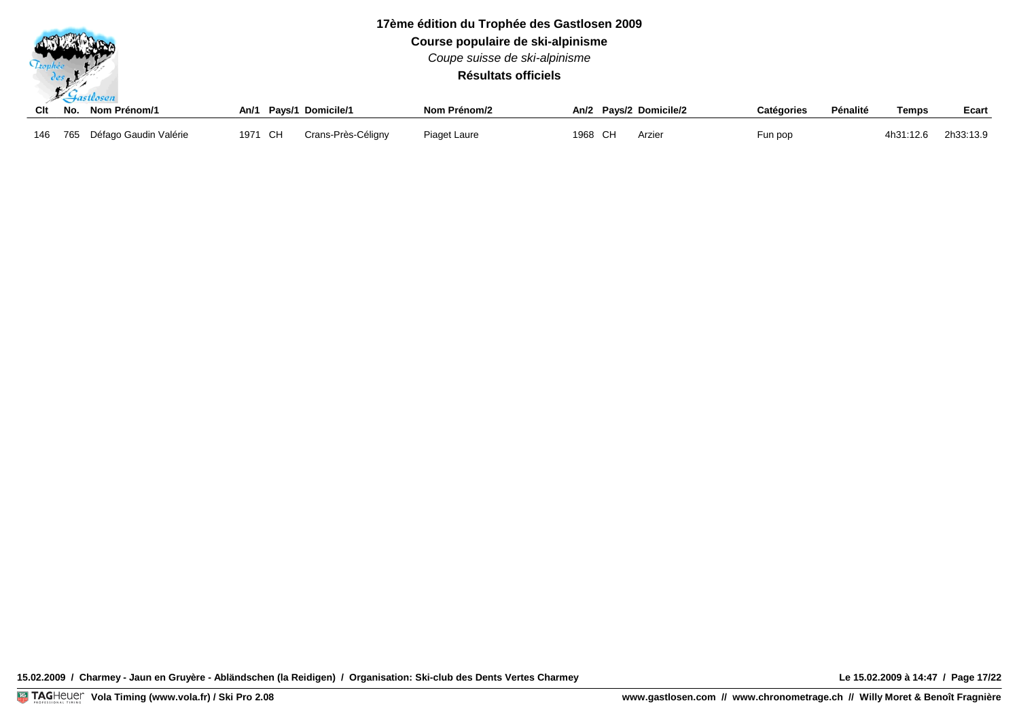$\mathcal{L}$  actlescent

**Course populaire de ski-alpinisme** *Coupe suisse de ski-alpinisme*

**Résultats officiels**

|  | Clt No. Nom Prénom/1          |         | An/1 Pays/1 Domicile/1 | Nom Prénom/2 |         | An/2 Pavs/2 Domicile/2 | Catégories | Pénalité | <b>Temps</b> | Ecart     |
|--|-------------------------------|---------|------------------------|--------------|---------|------------------------|------------|----------|--------------|-----------|
|  | 146 765 Défago Gaudin Valérie | 1971 CH | Crans-Près-Céligny     | Piaget Laure | 1968 CH | Arzier                 | Fun pop    |          | 4h31:12.6    | 2h33:13.9 |

**15.02.2009 / Charmey - Jaun en Gruyère - Abländschen (la Reidigen) / Organisation: Ski-club des Dents Vertes Charmey Le 15.02.2009 à 14:47 / Page 17/22**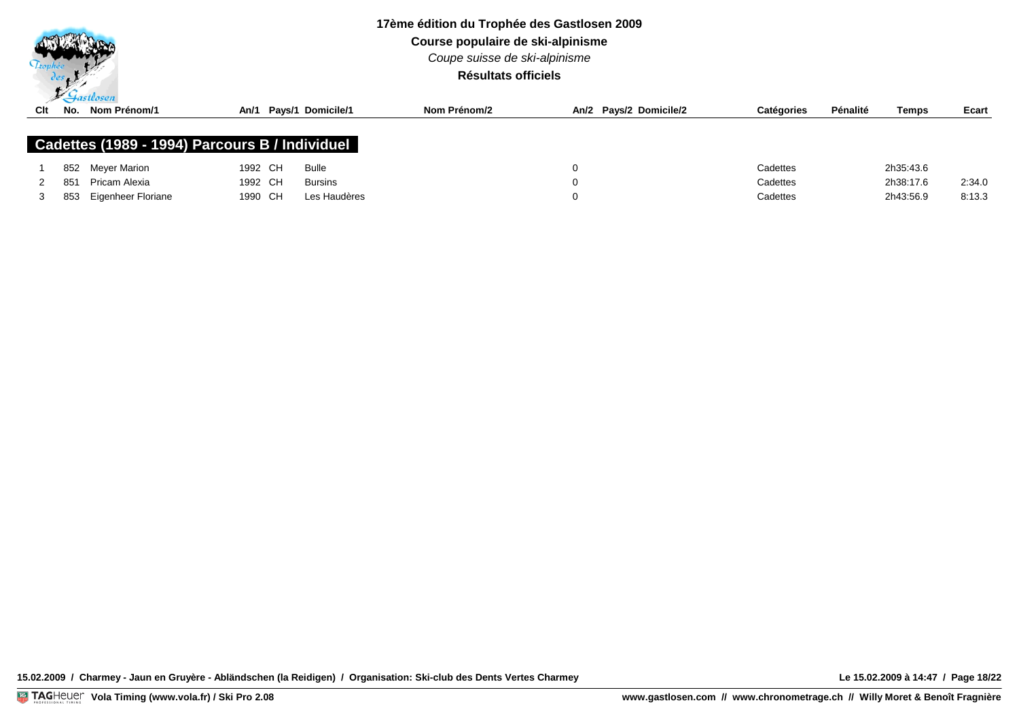

**Course populaire de ski-alpinisme**

*Coupe suisse de ski-alpinisme*

**Résultats officiels**

| Clt | No. | $\mathcal{P}$ . The second second second second second second second second second second second second second second second second second second second second second second second second second second second second second sec<br>Nom Prénom/1 | An/1    | Pays/1 Domicile/1 | Nom Prénom/2 |   | An/2 Pays/2 Domicile/2 | Catégories | Pénalité | Temps     | Ecart  |
|-----|-----|----------------------------------------------------------------------------------------------------------------------------------------------------------------------------------------------------------------------------------------------------|---------|-------------------|--------------|---|------------------------|------------|----------|-----------|--------|
|     |     | Cadettes (1989 - 1994) Parcours B / Individuel                                                                                                                                                                                                     |         |                   |              |   |                        |            |          |           |        |
|     |     | 852 Meyer Marion                                                                                                                                                                                                                                   | 1992 CH | Bulle             |              | 0 |                        | Cadettes   |          | 2h35:43.6 |        |
|     | 851 | Pricam Alexia                                                                                                                                                                                                                                      | 1992 CH | <b>Bursins</b>    |              | 0 |                        | Cadettes   |          | 2h38:17.6 | 2:34.0 |
|     | 853 | Eigenheer Floriane                                                                                                                                                                                                                                 | 1990 CH | Les Haudères      |              | 0 |                        | Cadettes   |          | 2h43:56.9 | 8:13.3 |

**15.02.2009 / Charmey - Jaun en Gruyère - Abländschen (la Reidigen) / Organisation: Ski-club des Dents Vertes Charmey Le 15.02.2009 à 14:47 / Page 18/22**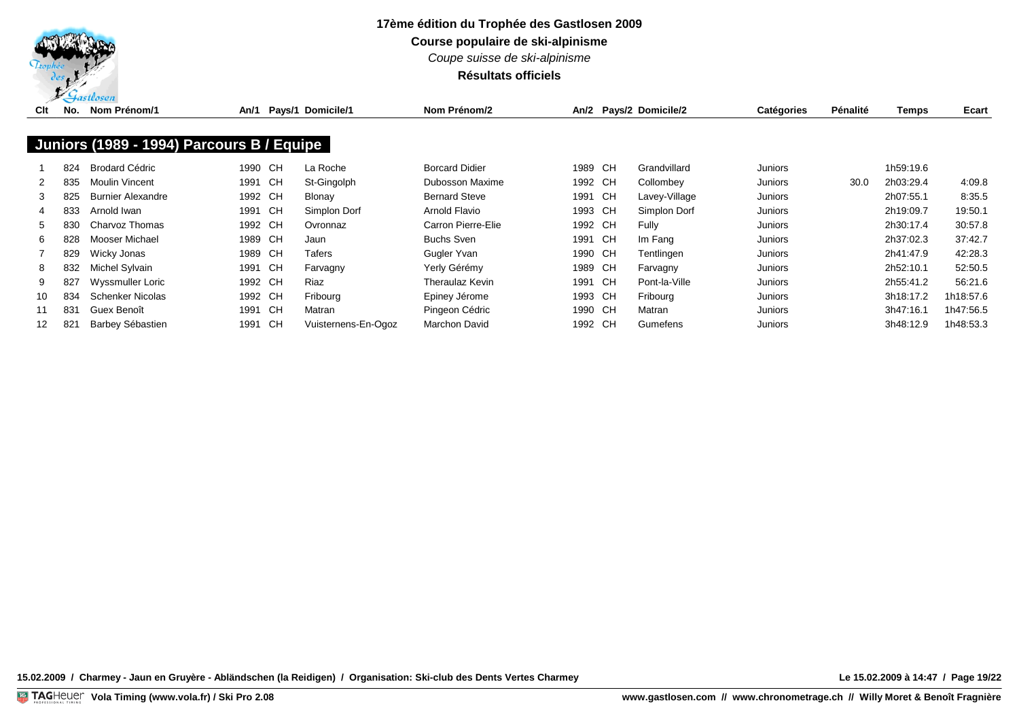

**Course populaire de ski-alpinisme**

*Coupe suisse de ski-alpinisme*

## **Résultats officiels**

| Clt | No. | Nom Prénom/1                              | An/1    |    | Pays/1 Domicile/1   | Nom Prénom/2           |         | An/2 Pays/2 Domicile/2 | <b>Catégories</b> | Pénalité | Temps     | Ecart     |
|-----|-----|-------------------------------------------|---------|----|---------------------|------------------------|---------|------------------------|-------------------|----------|-----------|-----------|
|     |     | Juniors (1989 - 1994) Parcours B / Equipe |         |    |                     |                        |         |                        |                   |          |           |           |
|     | 824 | Brodard Cédric                            | 1990 CH |    | La Roche            | <b>Borcard Didier</b>  | 1989 CH | Grandvillard           | Juniors           |          | 1h59:19.6 |           |
| 2   | 835 | Moulin Vincent                            | 1991    | CH | St-Gingolph         | <b>Dubosson Maxime</b> | 1992 CH | Collombey              | Juniors           | 30.0     | 2h03:29.4 | 4:09.8    |
| 3   | 825 | <b>Burnier Alexandre</b>                  | 1992 CH |    | Blonay              | <b>Bernard Steve</b>   | 1991 CH | Lavey-Village          | Juniors           |          | 2h07:55.1 | 8:35.5    |
|     | 833 | Arnold Iwan                               | 1991 CH |    | Simplon Dorf        | Arnold Flavio          | 1993 CH | Simplon Dorf           | Juniors           |          | 2h19:09.7 | 19:50.1   |
| 5.  | 830 | Charvoz Thomas                            | 1992 CH |    | Ovronnaz            | Carron Pierre-Elie     | 1992 CH | Fully                  | Juniors           |          | 2h30:17.4 | 30:57.8   |
| 6   | 828 | Mooser Michael                            | 1989 CH |    | Jaun                | <b>Buchs Sven</b>      | 1991 CH | Im Fang                | Juniors           |          | 2h37:02.3 | 37:42.7   |
|     | 829 | Wicky Jonas                               | 1989 CH |    | Tafers              | Gugler Yvan            | 1990 CH | Tentlingen             | Juniors           |          | 2h41:47.9 | 42:28.3   |
| 8   | 832 | Michel Sylvain                            | 1991 CH |    | Farvagny            | Yerly Gérémy           | 1989 CH | Farvagny               | Juniors           |          | 2h52:10.1 | 52:50.5   |
| 9   | 827 | Wyssmuller Loric                          | 1992 CH |    | Riaz                | Theraulaz Kevin        | 1991 CH | Pont-la-Ville          | Juniors           |          | 2h55:41.2 | 56:21.6   |
| 10  | 834 | Schenker Nicolas                          | 1992 CH |    | Fribourg            | Epiney Jérome          | 1993 CH | Fribourg               | Juniors           |          | 3h18:17.2 | 1h18:57.6 |
| 11  | 831 | Guex Benoît                               | 1991    | CH | Matran              | Pingeon Cédric         | 1990 CH | Matran                 | Juniors           |          | 3h47:16.1 | 1h47:56.5 |
| 12  | 821 | Barbey Sébastien                          | 1991    | CH | Vuisternens-En-Ogoz | Marchon David          | 1992 CH | Gumefens               | Juniors           |          | 3h48:12.9 | 1h48:53.3 |

**15.02.2009 / Charmey - Jaun en Gruyère - Abländschen (la Reidigen) / Organisation: Ski-club des Dents Vertes Charmey Le 15.02.2009 à 14:47 / Page 19/22**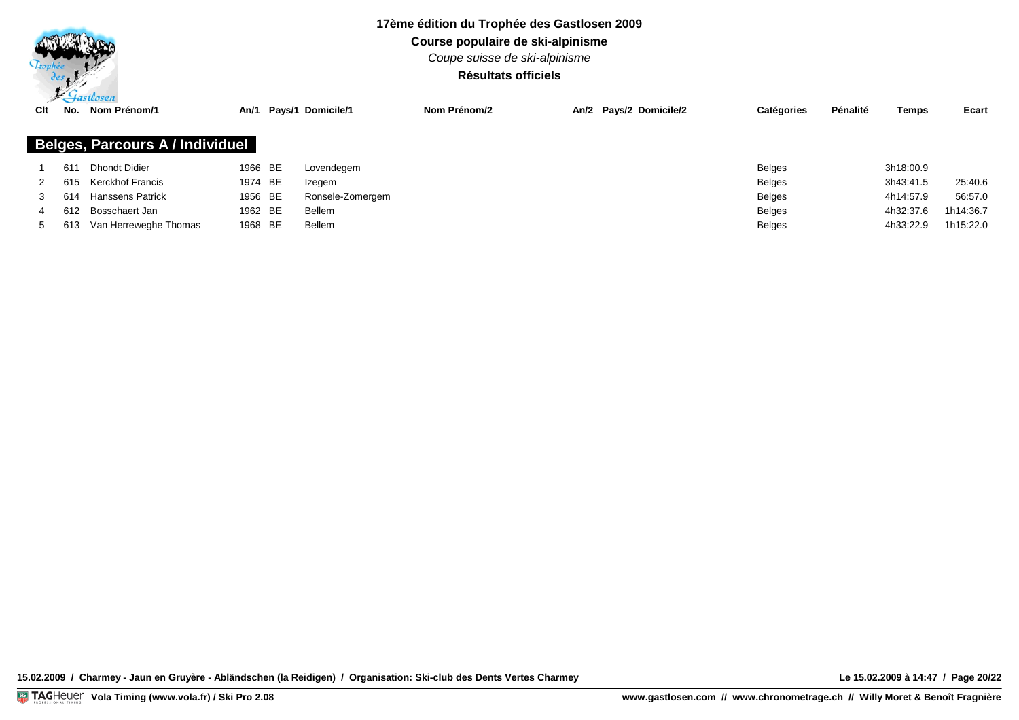

**Course populaire de ski-alpinisme**

*Coupe suisse de ski-alpinisme*

### **Résultats officiels**

| Clt   | No. | Nom Prénom/1                           |         | An/1 Pays/1 Domicile/1 | Nom Prénom/2 | An/2 Pavs/2 Domicile/2 | <b>Catégories</b> | Pénalité | <b>Temps</b> | Ecart     |
|-------|-----|----------------------------------------|---------|------------------------|--------------|------------------------|-------------------|----------|--------------|-----------|
|       |     |                                        |         |                        |              |                        |                   |          |              |           |
|       |     | <b>Belges, Parcours A / Individuel</b> |         |                        |              |                        |                   |          |              |           |
|       | 611 | <b>Dhondt Didier</b>                   | 1966 BE | Lovendegem             |              |                        | <b>Belges</b>     |          | 3h18:00.9    |           |
|       | 615 | <b>Kerckhof Francis</b>                | 1974 BE | Izegem                 |              |                        | <b>Belges</b>     |          | 3h43:41.5    | 25:40.6   |
|       | 614 | <b>Hanssens Patrick</b>                | 1956 BE | Ronsele-Zomergem       |              |                        | <b>Belges</b>     |          | 4h14:57.9    | 56:57.0   |
|       | 612 | Bosschaert Jan                         | 1962 BE | Bellem                 |              |                        | <b>Belges</b>     |          | 4h32:37.6    | 1h14:36.7 |
| $5 -$ | 613 | Van Herreweghe Thomas                  | 1968 BE | Bellem                 |              |                        | Belges            |          | 4h33:22.9    | 1h15:22.0 |

**15.02.2009 / Charmey - Jaun en Gruyère - Abländschen (la Reidigen) / Organisation: Ski-club des Dents Vertes Charmey Le 15.02.2009 à 14:47 / Page 20/22**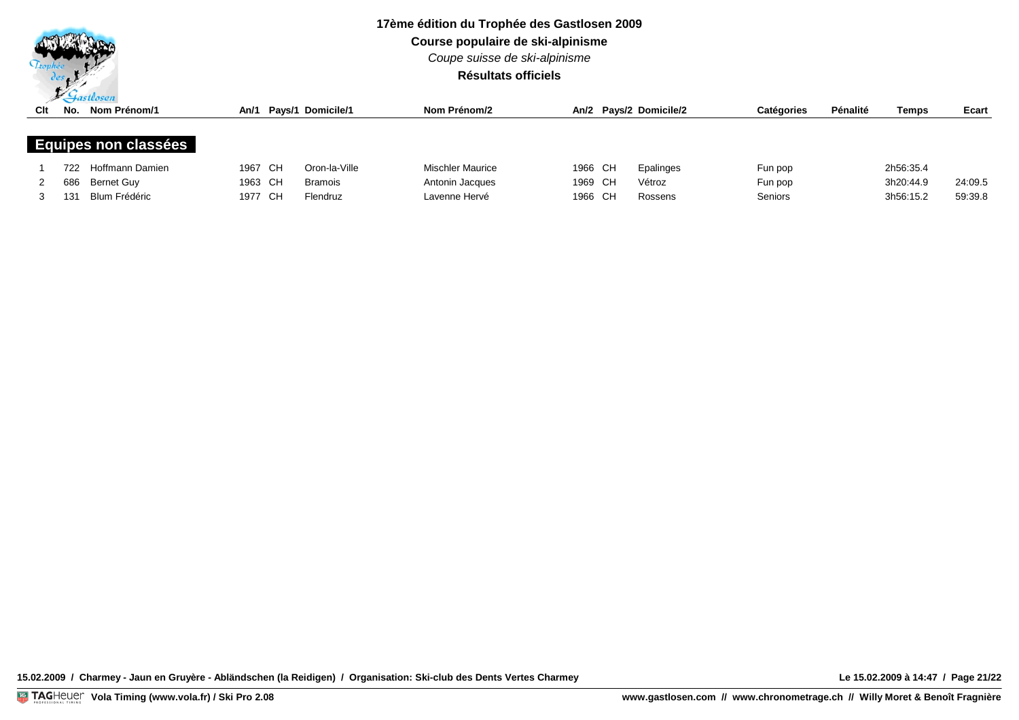

**Course populaire de ski-alpinisme**

*Coupe suisse de ski-alpinisme*

## **Résultats officiels**

| Clt | No.  | $\sqrt{u}$ suvsen<br>Nom Prénom/1 |         | An/1 Pays/1 Domicile/1 | Nom Prénom/2            |         | An/2 Pays/2 Domicile/2 | <b>Catégories</b> | Pénalité | <b>Temps</b> | Ecart   |
|-----|------|-----------------------------------|---------|------------------------|-------------------------|---------|------------------------|-------------------|----------|--------------|---------|
|     |      | <b>Equipes non classées</b>       |         |                        |                         |         |                        |                   |          |              |         |
|     | 722. | Hoffmann Damien                   | 1967 CH | Oron-la-Ville          | <b>Mischler Maurice</b> | 1966 CH | Epalinges              | Fun pop           |          | 2h56:35.4    |         |
|     | 686  | Bernet Guy                        | 1963 CH | <b>Bramois</b>         | Antonin Jacques         | 1969 CH | Vétroz                 | Fun pop           |          | 3h20:44.9    | 24:09.5 |
|     | 131  | Blum Frédéric                     | 1977 CH | Flendruz               | Lavenne Hervé           | 1966 CH | Rossens                | <b>Seniors</b>    |          | 3h56:15.2    | 59:39.8 |

**15.02.2009 / Charmey - Jaun en Gruyère - Abländschen (la Reidigen) / Organisation: Ski-club des Dents Vertes Charmey Le 15.02.2009 à 14:47 / Page 21/22**